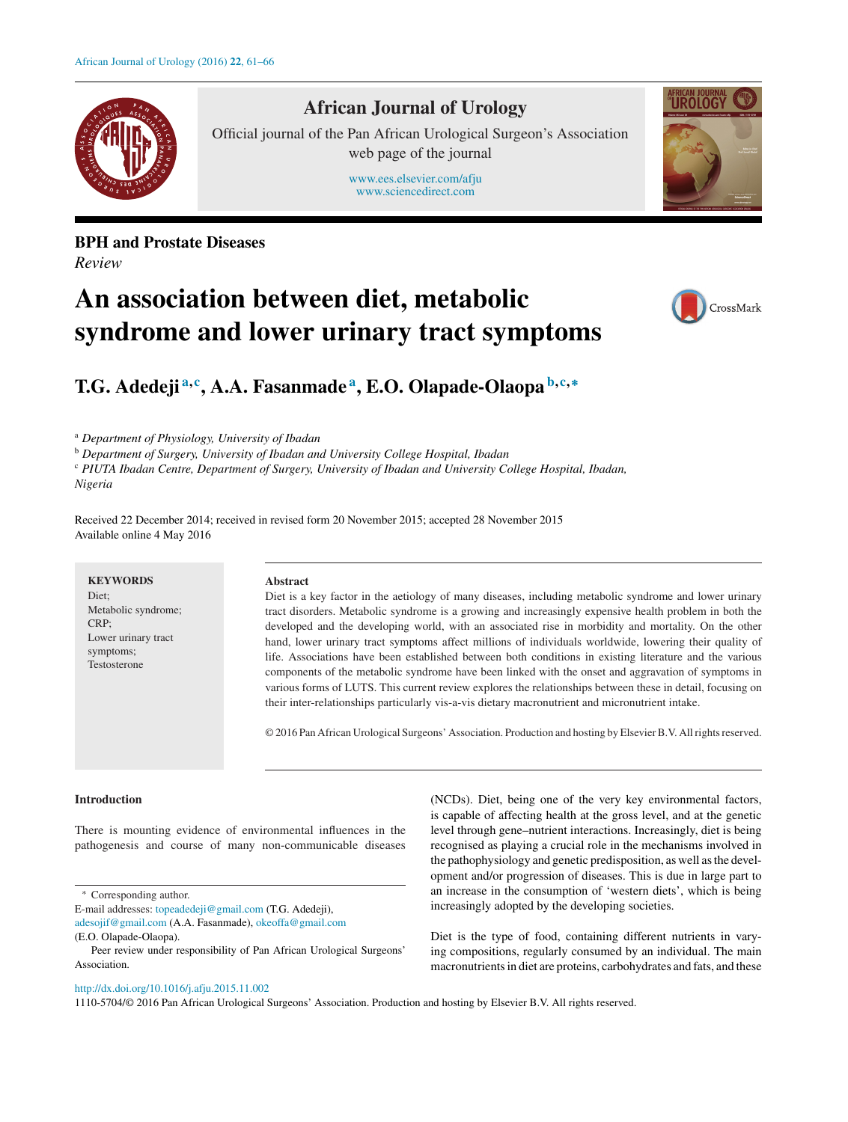

# **African Journal of Urology**

Official journal of the Pan African Urological Surgeon's Association web page of the journal

> [www.ees.elsevier.com/afju](http://www.ees.elsevier.com/afju) [www.sciencedirect.com](http://www.sciencedirect.com/science/journal/11105704)





# **An association between diet, metabolic syndrome and lower urinary tract symptoms**



# **T.G. Adedeji <sup>a</sup>***,***<sup>c</sup> , A.A. Fasanmade <sup>a</sup> , E.O. Olapade-Olaopa <sup>b</sup>***,***c***,***<sup>∗</sup>**

<sup>a</sup> *Department of Physiology, University of Ibadan*

<sup>b</sup> *Department of Surgery, University of Ibadan and University College Hospital, Ibadan*

<sup>c</sup> *PIUTA Ibadan Centre, Department of Surgery, University of Ibadan and University College Hospital, Ibadan, Nigeria*

Received 22 December 2014; received in revised form 20 November 2015; accepted 28 November 2015 Available online 4 May 2016

## **Abstract**

Diet is a key factor in the aetiology of many diseases, including metabolic syndrome and lower urinary tract disorders. Metabolic syndrome is a growing and increasingly expensive health problem in both the developed and the developing world, with an associated rise in morbidity and mortality. On the other hand, lower urinary tract symptoms affect millions of individuals worldwide, lowering their quality of life. Associations have been established between both conditions in existing literature and the various components of the metabolic syndrome have been linked with the onset and aggravation of symptoms in various forms of LUTS. This current review explores the relationships between these in detail, focusing on their inter-relationships particularly vis-a-vis dietary macronutrient and micronutrient intake.

© 2016 Pan African Urological Surgeons' Association. Production and hosting by ElsevierB.V. Allrightsreserved.

# **Introduction**

There is mounting evidence of environmental influences in the pathogenesis and course of many non-communicable diseases

∗ Corresponding author.

E-mail addresses: [topeadedeji@gmail.com](mailto:topeadedeji@gmail.com) (T.G. Adedeji),

[http://dx.doi.org/10.1016/j.afju.2015.11.002](dx.doi.org/10.1016/j.afju.2015.11.002)

(NCDs). Diet, being one of the very key environmental factors, is capable of affecting health at the gross level, and at the genetic level through gene–nutrient interactions. Increasingly, diet is being recognised as playing a crucial role in the mechanisms involved in the pathophysiology and genetic predisposition, as well asthe development and/or progression of diseases. This is due in large part to an increase in the consumption of 'western diets', which is being increasingly adopted by the developing societies.

Diet is the type of food, containing different nutrients in varying compositions, regularly consumed by an individual. The main macronutrients in diet are proteins, carbohydrates and fats, and these

1110-5704/© 2016 Pan African Urological Surgeons' Association. Production and hosting by Elsevier B.V. All rights reserved.

[adesojif@gmail.com](mailto:adesojif@gmail.com) (A.A. Fasanmade), [okeoffa@gmail.com](mailto:okeoffa@gmail.com)

<sup>(</sup>E.O. Olapade-Olaopa).

Peer review under responsibility of Pan African Urological Surgeons' Association.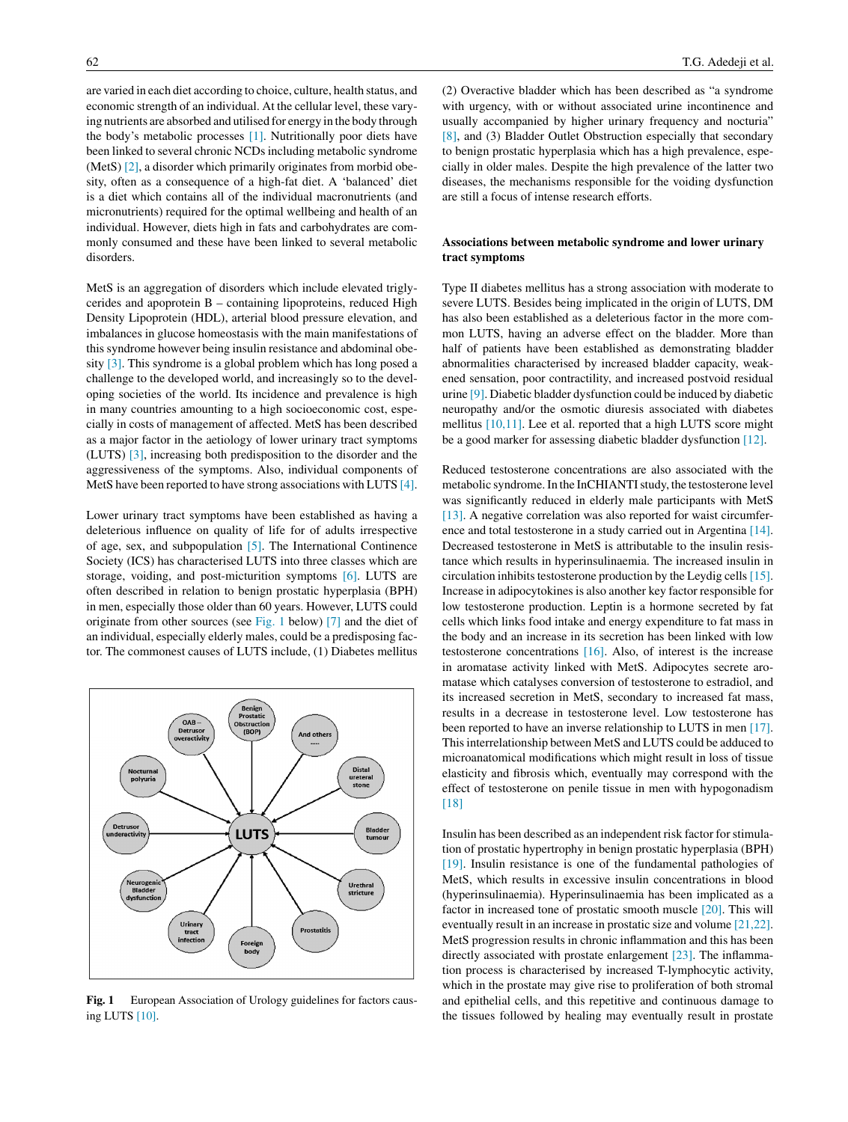are varied in each diet according to choice, culture, health status, and economic strength of an individual. At the cellular level, these varying nutrients are absorbed and utilised for energy in the body through the body's metabolic processes [\[1\].](#page-3-0) Nutritionally poor diets have been linked to several chronic NCDs including metabolic syndrome (MetS) [\[2\],](#page-3-0) a disorder which primarily originates from morbid obesity, often as a consequence of a high-fat diet. A 'balanced' diet is a diet which contains all of the individual macronutrients (and micronutrients) required for the optimal wellbeing and health of an individual. However, diets high in fats and carbohydrates are commonly consumed and these have been linked to several metabolic disorders.

MetS is an aggregation of disorders which include elevated triglycerides and apoprotein B – containing lipoproteins, reduced High Density Lipoprotein (HDL), arterial blood pressure elevation, and imbalances in glucose homeostasis with the main manifestations of this syndrome however being insulin resistance and abdominal obesity [\[3\].](#page-3-0) This syndrome is a global problem which has long posed a challenge to the developed world, and increasingly so to the developing societies of the world. Its incidence and prevalence is high in many countries amounting to a high socioeconomic cost, especially in costs of management of affected. MetS has been described as a major factor in the aetiology of lower urinary tract symptoms (LUTS) [\[3\],](#page-3-0) increasing both predisposition to the disorder and the aggressiveness of the symptoms. Also, individual components of MetS have been reported to have strong associations with LUTS [\[4\].](#page-3-0)

Lower urinary tract symptoms have been established as having a deleterious influence on quality of life for of adults irrespective of age, sex, and subpopulation [\[5\].](#page-3-0) The International Continence Society (ICS) has characterised LUTS into three classes which are storage, voiding, and post-micturition symptoms [\[6\].](#page-3-0) LUTS are often described in relation to benign prostatic hyperplasia (BPH) in men, especially those older than 60 years. However, LUTS could originate from other sources (see Fig. 1 below) [\[7\]](#page-3-0) and the diet of an individual, especially elderly males, could be a predisposing factor. The commonest causes of LUTS include, (1) Diabetes mellitus



**Fig. 1** European Association of Urology guidelines for factors causing LUTS [\[10\].](#page-3-0)

(2) Overactive bladder which has been described as "a syndrome with urgency, with or without associated urine incontinence and usually accompanied by higher urinary frequency and nocturia" [\[8\],](#page-3-0) and (3) Bladder Outlet Obstruction especially that secondary to benign prostatic hyperplasia which has a high prevalence, especially in older males. Despite the high prevalence of the latter two diseases, the mechanisms responsible for the voiding dysfunction are still a focus of intense research efforts.

# **Associations between metabolic syndrome and lower urinary tract symptoms**

Type II diabetes mellitus has a strong association with moderate to severe LUTS. Besides being implicated in the origin of LUTS, DM has also been established as a deleterious factor in the more common LUTS, having an adverse effect on the bladder. More than half of patients have been established as demonstrating bladder abnormalities characterised by increased bladder capacity, weakened sensation, poor contractility, and increased postvoid residual urine [\[9\].](#page-3-0) Diabetic bladder dysfunction could be induced by diabetic neuropathy and/or the osmotic diuresis associated with diabetes mellitus [\[10,11\].](#page-3-0) Lee et al. reported that a high LUTS score might be a good marker for assessing diabetic bladder dysfunction [\[12\].](#page-4-0)

Reduced testosterone concentrations are also associated with the metabolic syndrome. In the InCHIANTI study, the testosterone level was significantly reduced in elderly male participants with MetS [\[13\].](#page-4-0) A negative correlation was also reported for waist circumference and total testosterone in a study carried out in Argentina [\[14\].](#page-4-0) Decreased testosterone in MetS is attributable to the insulin resistance which results in hyperinsulinaemia. The increased insulin in circulation inhibits testosterone production by the Leydig cells  $[15]$ . Increase in adipocytokines is also another key factor responsible for low testosterone production. Leptin is a hormone secreted by fat cells which links food intake and energy expenditure to fat mass in the body and an increase in its secretion has been linked with low testosterone concentrations [\[16\].](#page-4-0) Also, of interest is the increase in aromatase activity linked with MetS. Adipocytes secrete aromatase which catalyses conversion of testosterone to estradiol, and its increased secretion in MetS, secondary to increased fat mass, results in a decrease in testosterone level. Low testosterone has been reported to have an inverse relationship to LUTS in men [\[17\].](#page-4-0) This interrelationship between MetS and LUTS could be adduced to microanatomical modifications which might result in loss of tissue elasticity and fibrosis which, eventually may correspond with the effect of testosterone on penile tissue in men with hypogonadism [\[18\]](#page-4-0)

Insulin has been described as an independent risk factor forstimulation of prostatic hypertrophy in benign prostatic hyperplasia (BPH) [\[19\].](#page-4-0) Insulin resistance is one of the fundamental pathologies of MetS, which results in excessive insulin concentrations in blood (hyperinsulinaemia). Hyperinsulinaemia has been implicated as a factor in increased tone of prostatic smooth muscle [\[20\].](#page-4-0) This will eventually result in an increase in prostatic size and volume [\[21,22\].](#page-4-0) MetS progression results in chronic inflammation and this has been directly associated with prostate enlargement [\[23\].](#page-4-0) The inflammation process is characterised by increased T-lymphocytic activity, which in the prostate may give rise to proliferation of both stromal and epithelial cells, and this repetitive and continuous damage to the tissues followed by healing may eventually result in prostate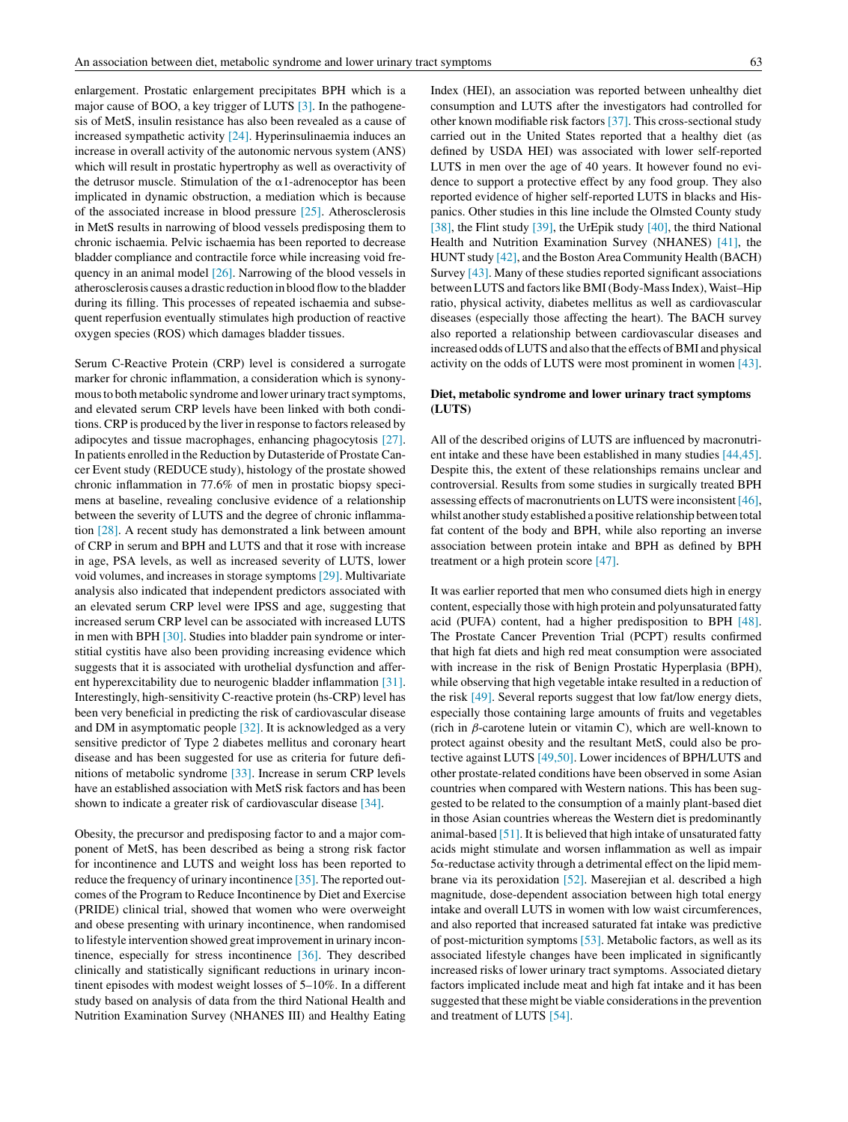enlargement. Prostatic enlargement precipitates BPH which is a major cause of BOO, a key trigger of LUTS [\[3\].](#page-3-0) In the pathogenesis of MetS, insulin resistance has also been revealed as a cause of increased sympathetic activity [\[24\].](#page-4-0) Hyperinsulinaemia induces an increase in overall activity of the autonomic nervous system (ANS) which will result in prostatic hypertrophy as well as overactivity of the detrusor muscle. Stimulation of the  $\alpha$ 1-adrenoceptor has been implicated in dynamic obstruction, a mediation which is because of the associated increase in blood pressure [\[25\].](#page-4-0) Atherosclerosis in MetS results in narrowing of blood vessels predisposing them to chronic ischaemia. Pelvic ischaemia has been reported to decrease bladder compliance and contractile force while increasing void frequency in an animal model [\[26\].](#page-4-0) Narrowing of the blood vessels in atherosclerosis causes a drastic reduction in blood flowto the bladder during its filling. This processes of repeated ischaemia and subsequent reperfusion eventually stimulates high production of reactive oxygen species (ROS) which damages bladder tissues.

Serum C-Reactive Protein (CRP) level is considered a surrogate marker for chronic inflammation, a consideration which is synonymous to both metabolic syndrome and lower urinary tract symptoms, and elevated serum CRP levels have been linked with both conditions. CRP is produced by the liver in response to factors released by adipocytes and tissue macrophages, enhancing phagocytosis [\[27\].](#page-4-0) In patients enrolled in the Reduction by Dutasteride of Prostate Cancer Event study (REDUCE study), histology of the prostate showed chronic inflammation in 77.6% of men in prostatic biopsy specimens at baseline, revealing conclusive evidence of a relationship between the severity of LUTS and the degree of chronic inflammation [\[28\].](#page-4-0) A recent study has demonstrated a link between amount of CRP in serum and BPH and LUTS and that it rose with increase in age, PSA levels, as well as increased severity of LUTS, lower void volumes, and increases in storage symptoms [\[29\].](#page-4-0) Multivariate analysis also indicated that independent predictors associated with an elevated serum CRP level were IPSS and age, suggesting that increased serum CRP level can be associated with increased LUTS in men with BPH [\[30\].](#page-4-0) Studies into bladder pain syndrome or interstitial cystitis have also been providing increasing evidence which suggests that it is associated with urothelial dysfunction and afferent hyperexcitability due to neurogenic bladder inflammation [\[31\].](#page-4-0) Interestingly, high-sensitivity C-reactive protein (hs-CRP) level has been very beneficial in predicting the risk of cardiovascular disease and DM in asymptomatic people [\[32\].](#page-4-0) It is acknowledged as a very sensitive predictor of Type 2 diabetes mellitus and coronary heart disease and has been suggested for use as criteria for future definitions of metabolic syndrome [\[33\].](#page-4-0) Increase in serum CRP levels have an established association with MetS risk factors and has been shown to indicate a greater risk of cardiovascular disease [\[34\].](#page-4-0)

Obesity, the precursor and predisposing factor to and a major component of MetS, has been described as being a strong risk factor for incontinence and LUTS and weight loss has been reported to reduce the frequency of urinary incontinence [\[35\].](#page-4-0) The reported outcomes of the Program to Reduce Incontinence by Diet and Exercise (PRIDE) clinical trial, showed that women who were overweight and obese presenting with urinary incontinence, when randomised to lifestyle intervention showed great improvement in urinary incontinence, especially for stress incontinence [\[36\].](#page-4-0) They described clinically and statistically significant reductions in urinary incontinent episodes with modest weight losses of 5–10%. In a different study based on analysis of data from the third National Health and Nutrition Examination Survey (NHANES III) and Healthy Eating Index (HEI), an association was reported between unhealthy diet consumption and LUTS after the investigators had controlled for other known modifiable risk factors [\[37\].](#page-4-0) This cross-sectional study carried out in the United States reported that a healthy diet (as defined by USDA HEI) was associated with lower self-reported LUTS in men over the age of 40 years. It however found no evidence to support a protective effect by any food group. They also reported evidence of higher self-reported LUTS in blacks and Hispanics. Other studies in this line include the Olmsted County study [\[38\],](#page-4-0) the Flint study [\[39\],](#page-4-0) the UrEpik study [\[40\],](#page-4-0) the third National Health and Nutrition Examination Survey (NHANES) [\[41\],](#page-4-0) the HUNT study [\[42\],](#page-4-0) and the Boston Area Community Health (BACH) Survey [\[43\].](#page-4-0) Many of these studies reported significant associations between LUTS and factors like BMI (Body-Mass Index), Waist-Hip ratio, physical activity, diabetes mellitus as well as cardiovascular diseases (especially those affecting the heart). The BACH survey also reported a relationship between cardiovascular diseases and increased odds of LUTS and also that the effects of BMI and physical activity on the odds of LUTS were most prominent in women [\[43\].](#page-4-0)

# **Diet, metabolic syndrome and lower urinary tract symptoms (LUTS)**

All of the described origins of LUTS are influenced by macronutrient intake and these have been established in many studies [\[44,45\].](#page-4-0) Despite this, the extent of these relationships remains unclear and controversial. Results from some studies in surgically treated BPH assessing effects of macronutrients on LUTS were inconsistent [\[46\],](#page-4-0) whilst another study established a positive relationship between total fat content of the body and BPH, while also reporting an inverse association between protein intake and BPH as defined by BPH treatment or a high protein score [\[47\].](#page-4-0)

It was earlier reported that men who consumed diets high in energy content, especially those with high protein and polyunsaturated fatty acid (PUFA) content, had a higher predisposition to BPH [\[48\].](#page-4-0) The Prostate Cancer Prevention Trial (PCPT) results confirmed that high fat diets and high red meat consumption were associated with increase in the risk of Benign Prostatic Hyperplasia (BPH), while observing that high vegetable intake resulted in a reduction of the risk [\[49\].](#page-4-0) Several reports suggest that low fat/low energy diets, especially those containing large amounts of fruits and vegetables (rich in  $\beta$ -carotene lutein or vitamin C), which are well-known to protect against obesity and the resultant MetS, could also be protective against LUTS [\[49,50\].](#page-4-0) Lower incidences of BPH/LUTS and other prostate-related conditions have been observed in some Asian countries when compared with Western nations. This has been suggested to be related to the consumption of a mainly plant-based diet in those Asian countries whereas the Western diet is predominantly animal-based [\[51\].](#page-5-0) It is believed that high intake of unsaturated fatty acids might stimulate and worsen inflammation as well as impair  $5\alpha$ -reductase activity through a detrimental effect on the lipid membrane via its peroxidation [\[52\].](#page-5-0) Maserejian et al. described a high magnitude, dose-dependent association between high total energy intake and overall LUTS in women with low waist circumferences, and also reported that increased saturated fat intake was predictive of post-micturition symptoms [\[53\].](#page-5-0) Metabolic factors, as well as its associated lifestyle changes have been implicated in significantly increased risks of lower urinary tract symptoms. Associated dietary factors implicated include meat and high fat intake and it has been suggested that these might be viable considerations in the prevention and treatment of LUTS [\[54\].](#page-5-0)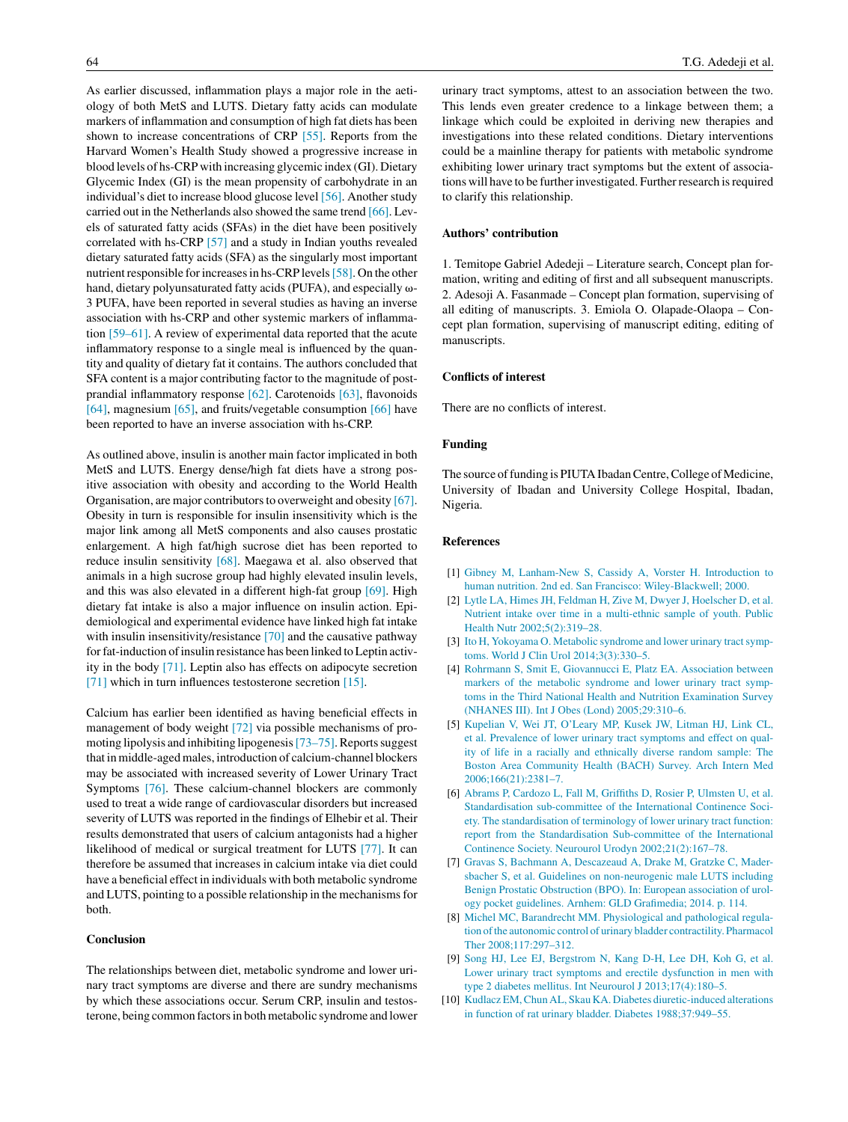<span id="page-3-0"></span>As earlier discussed, inflammation plays a major role in the aetiology of both MetS and LUTS. Dietary fatty acids can modulate markers of inflammation and consumption of high fat diets has been shown to increase concentrations of CRP [\[55\].](#page-5-0) Reports from the Harvard Women's Health Study showed a progressive increase in blood levels of hs-CRP with increasing glycemic index (GI). Dietary Glycemic Index (GI) is the mean propensity of carbohydrate in an individual's diet to increase blood glucose level [\[56\].](#page-5-0) Another study carried out in the Netherlands also showed the same trend [\[66\].](#page-5-0) Levels of saturated fatty acids (SFAs) in the diet have been positively correlated with hs-CRP [\[57\]](#page-5-0) and a study in Indian youths revealed dietary saturated fatty acids (SFA) as the singularly most important nutrient responsible for increases in hs-CRP levels [\[58\].](#page-5-0) On the other hand, dietary polyunsaturated fatty acids (PUFA), and especially  $\omega$ -3 PUFA, have been reported in several studies as having an inverse association with hs-CRP and other systemic markers of inflammation [\[59–61\].](#page-5-0) A review of experimental data reported that the acute inflammatory response to a single meal is influenced by the quantity and quality of dietary fat it contains. The authors concluded that SFA content is a major contributing factor to the magnitude of postprandial inflammatory response [\[62\].](#page-5-0) Carotenoids [\[63\],](#page-5-0) flavonoids [\[64\],](#page-5-0) magnesium [\[65\],](#page-5-0) and fruits/vegetable consumption [\[66\]](#page-5-0) have been reported to have an inverse association with hs-CRP.

As outlined above, insulin is another main factor implicated in both MetS and LUTS. Energy dense/high fat diets have a strong positive association with obesity and according to the World Health Organisation, are major contributors to overweight and obesity [\[67\].](#page-5-0) Obesity in turn is responsible for insulin insensitivity which is the major link among all MetS components and also causes prostatic enlargement. A high fat/high sucrose diet has been reported to reduce insulin sensitivity [\[68\].](#page-5-0) Maegawa et al. also observed that animals in a high sucrose group had highly elevated insulin levels, and this was also elevated in a different high-fat group [\[69\].](#page-5-0) High dietary fat intake is also a major influence on insulin action. Epidemiological and experimental evidence have linked high fat intake with insulin insensitivity/resistance [\[70\]](#page-5-0) and the causative pathway for fat-induction of insulin resistance has been linked to Leptin activity in the body [\[71\].](#page-5-0) Leptin also has effects on adipocyte secretion [\[71\]](#page-5-0) which in turn influences testosterone secretion [\[15\].](#page-4-0)

Calcium has earlier been identified as having beneficial effects in management of body weight [\[72\]](#page-5-0) via possible mechanisms of promoting lipolysis and inhibiting lipogenesis [73–75]. Reports suggest that in middle-aged males, introduction of calcium-channel blockers may be associated with increased severity of Lower Urinary Tract Symptoms [\[76\].](#page-5-0) These calcium-channel blockers are commonly used to treat a wide range of cardiovascular disorders but increased severity of LUTS was reported in the findings of Elhebir et al. Their results demonstrated that users of calcium antagonists had a higher likelihood of medical or surgical treatment for LUTS [\[77\].](#page-5-0) It can therefore be assumed that increases in calcium intake via diet could have a beneficial effect in individuals with both metabolic syndrome and LUTS, pointing to a possible relationship in the mechanisms for both.

# **Conclusion**

The relationships between diet, metabolic syndrome and lower urinary tract symptoms are diverse and there are sundry mechanisms by which these associations occur. Serum CRP, insulin and testosterone, being common factors in both metabolic syndrome and lower

urinary tract symptoms, attest to an association between the two. This lends even greater credence to a linkage between them; a linkage which could be exploited in deriving new therapies and investigations into these related conditions. Dietary interventions could be a mainline therapy for patients with metabolic syndrome exhibiting lower urinary tract symptoms but the extent of associations will have to be further investigated. Further research is required to clarify this relationship.

#### **Authors' contribution**

1. Temitope Gabriel Adedeji – Literature search, Concept plan formation, writing and editing of first and all subsequent manuscripts. 2. Adesoji A. Fasanmade – Concept plan formation, supervising of all editing of manuscripts. 3. Emiola O. Olapade-Olaopa – Concept plan formation, supervising of manuscript editing, editing of manuscripts.

# **Conflicts of interest**

There are no conflicts of interest.

## **Funding**

The source of funding is PIUTA Ibadan Centre, College of Medicine, University of Ibadan and University College Hospital, Ibadan, Nigeria.

### **References**

- [1] [Gibney](http://refhub.elsevier.com/S1110-5704(16)30022-4/sbref0390) [M,](http://refhub.elsevier.com/S1110-5704(16)30022-4/sbref0390) [Lanham-New](http://refhub.elsevier.com/S1110-5704(16)30022-4/sbref0390) [S,](http://refhub.elsevier.com/S1110-5704(16)30022-4/sbref0390) [Cassidy](http://refhub.elsevier.com/S1110-5704(16)30022-4/sbref0390) [A,](http://refhub.elsevier.com/S1110-5704(16)30022-4/sbref0390) [Vorster](http://refhub.elsevier.com/S1110-5704(16)30022-4/sbref0390) [H.](http://refhub.elsevier.com/S1110-5704(16)30022-4/sbref0390) [Introduction](http://refhub.elsevier.com/S1110-5704(16)30022-4/sbref0390) [to](http://refhub.elsevier.com/S1110-5704(16)30022-4/sbref0390) [human](http://refhub.elsevier.com/S1110-5704(16)30022-4/sbref0390) [nutrition.](http://refhub.elsevier.com/S1110-5704(16)30022-4/sbref0390) [2nd](http://refhub.elsevier.com/S1110-5704(16)30022-4/sbref0390) [ed.](http://refhub.elsevier.com/S1110-5704(16)30022-4/sbref0390) [San](http://refhub.elsevier.com/S1110-5704(16)30022-4/sbref0390) [Francisco:](http://refhub.elsevier.com/S1110-5704(16)30022-4/sbref0390) [Wiley-Blackwell;](http://refhub.elsevier.com/S1110-5704(16)30022-4/sbref0390) [2000.](http://refhub.elsevier.com/S1110-5704(16)30022-4/sbref0390)
- [2] [Lytle](http://refhub.elsevier.com/S1110-5704(16)30022-4/sbref0395) [LA,](http://refhub.elsevier.com/S1110-5704(16)30022-4/sbref0395) [Himes](http://refhub.elsevier.com/S1110-5704(16)30022-4/sbref0395) [JH,](http://refhub.elsevier.com/S1110-5704(16)30022-4/sbref0395) [Feldman](http://refhub.elsevier.com/S1110-5704(16)30022-4/sbref0395) [H,](http://refhub.elsevier.com/S1110-5704(16)30022-4/sbref0395) [Zive](http://refhub.elsevier.com/S1110-5704(16)30022-4/sbref0395) [M,](http://refhub.elsevier.com/S1110-5704(16)30022-4/sbref0395) [Dwyer](http://refhub.elsevier.com/S1110-5704(16)30022-4/sbref0395) [J,](http://refhub.elsevier.com/S1110-5704(16)30022-4/sbref0395) [Hoelscher](http://refhub.elsevier.com/S1110-5704(16)30022-4/sbref0395) [D,](http://refhub.elsevier.com/S1110-5704(16)30022-4/sbref0395) [et](http://refhub.elsevier.com/S1110-5704(16)30022-4/sbref0395) [al.](http://refhub.elsevier.com/S1110-5704(16)30022-4/sbref0395) [Nutrient](http://refhub.elsevier.com/S1110-5704(16)30022-4/sbref0395) [intake](http://refhub.elsevier.com/S1110-5704(16)30022-4/sbref0395) [over](http://refhub.elsevier.com/S1110-5704(16)30022-4/sbref0395) [time](http://refhub.elsevier.com/S1110-5704(16)30022-4/sbref0395) [in](http://refhub.elsevier.com/S1110-5704(16)30022-4/sbref0395) [a](http://refhub.elsevier.com/S1110-5704(16)30022-4/sbref0395) [multi-ethnic](http://refhub.elsevier.com/S1110-5704(16)30022-4/sbref0395) [sample](http://refhub.elsevier.com/S1110-5704(16)30022-4/sbref0395) [of](http://refhub.elsevier.com/S1110-5704(16)30022-4/sbref0395) [youth.](http://refhub.elsevier.com/S1110-5704(16)30022-4/sbref0395) [Public](http://refhub.elsevier.com/S1110-5704(16)30022-4/sbref0395) [Health](http://refhub.elsevier.com/S1110-5704(16)30022-4/sbref0395) [Nutr](http://refhub.elsevier.com/S1110-5704(16)30022-4/sbref0395) [2002;5\(2\):319](http://refhub.elsevier.com/S1110-5704(16)30022-4/sbref0395)–[28.](http://refhub.elsevier.com/S1110-5704(16)30022-4/sbref0395)
- [3] [Ito](http://refhub.elsevier.com/S1110-5704(16)30022-4/sbref0400) [H,](http://refhub.elsevier.com/S1110-5704(16)30022-4/sbref0400) [Yokoyama](http://refhub.elsevier.com/S1110-5704(16)30022-4/sbref0400) [O.](http://refhub.elsevier.com/S1110-5704(16)30022-4/sbref0400) [Metabolic](http://refhub.elsevier.com/S1110-5704(16)30022-4/sbref0400) [syndrome](http://refhub.elsevier.com/S1110-5704(16)30022-4/sbref0400) [and](http://refhub.elsevier.com/S1110-5704(16)30022-4/sbref0400) [lower](http://refhub.elsevier.com/S1110-5704(16)30022-4/sbref0400) [urinary](http://refhub.elsevier.com/S1110-5704(16)30022-4/sbref0400) tract symp[toms.](http://refhub.elsevier.com/S1110-5704(16)30022-4/sbref0400) [World](http://refhub.elsevier.com/S1110-5704(16)30022-4/sbref0400) [J](http://refhub.elsevier.com/S1110-5704(16)30022-4/sbref0400) [Clin](http://refhub.elsevier.com/S1110-5704(16)30022-4/sbref0400) [Urol](http://refhub.elsevier.com/S1110-5704(16)30022-4/sbref0400) [2014;3\(3\):330–5.](http://refhub.elsevier.com/S1110-5704(16)30022-4/sbref0400)
- [4] [Rohrmann](http://refhub.elsevier.com/S1110-5704(16)30022-4/sbref0405) [S,](http://refhub.elsevier.com/S1110-5704(16)30022-4/sbref0405) [Smit](http://refhub.elsevier.com/S1110-5704(16)30022-4/sbref0405) [E,](http://refhub.elsevier.com/S1110-5704(16)30022-4/sbref0405) [Giovannucci](http://refhub.elsevier.com/S1110-5704(16)30022-4/sbref0405) [E,](http://refhub.elsevier.com/S1110-5704(16)30022-4/sbref0405) [Platz](http://refhub.elsevier.com/S1110-5704(16)30022-4/sbref0405) [EA.](http://refhub.elsevier.com/S1110-5704(16)30022-4/sbref0405) [Association](http://refhub.elsevier.com/S1110-5704(16)30022-4/sbref0405) [between](http://refhub.elsevier.com/S1110-5704(16)30022-4/sbref0405) [markers](http://refhub.elsevier.com/S1110-5704(16)30022-4/sbref0405) [of](http://refhub.elsevier.com/S1110-5704(16)30022-4/sbref0405) [the](http://refhub.elsevier.com/S1110-5704(16)30022-4/sbref0405) [metabolic](http://refhub.elsevier.com/S1110-5704(16)30022-4/sbref0405) [syndrome](http://refhub.elsevier.com/S1110-5704(16)30022-4/sbref0405) [and](http://refhub.elsevier.com/S1110-5704(16)30022-4/sbref0405) [lower](http://refhub.elsevier.com/S1110-5704(16)30022-4/sbref0405) [urinary](http://refhub.elsevier.com/S1110-5704(16)30022-4/sbref0405) [tract](http://refhub.elsevier.com/S1110-5704(16)30022-4/sbref0405) [symp](http://refhub.elsevier.com/S1110-5704(16)30022-4/sbref0405)[toms](http://refhub.elsevier.com/S1110-5704(16)30022-4/sbref0405) [in](http://refhub.elsevier.com/S1110-5704(16)30022-4/sbref0405) [the](http://refhub.elsevier.com/S1110-5704(16)30022-4/sbref0405) [Third](http://refhub.elsevier.com/S1110-5704(16)30022-4/sbref0405) [National](http://refhub.elsevier.com/S1110-5704(16)30022-4/sbref0405) [Health](http://refhub.elsevier.com/S1110-5704(16)30022-4/sbref0405) [and](http://refhub.elsevier.com/S1110-5704(16)30022-4/sbref0405) [Nutrition](http://refhub.elsevier.com/S1110-5704(16)30022-4/sbref0405) [Examination](http://refhub.elsevier.com/S1110-5704(16)30022-4/sbref0405) [Survey](http://refhub.elsevier.com/S1110-5704(16)30022-4/sbref0405) [\(NHANES](http://refhub.elsevier.com/S1110-5704(16)30022-4/sbref0405) [III\).](http://refhub.elsevier.com/S1110-5704(16)30022-4/sbref0405) [Int](http://refhub.elsevier.com/S1110-5704(16)30022-4/sbref0405) [J](http://refhub.elsevier.com/S1110-5704(16)30022-4/sbref0405) [Obes](http://refhub.elsevier.com/S1110-5704(16)30022-4/sbref0405) [\(Lond\)](http://refhub.elsevier.com/S1110-5704(16)30022-4/sbref0405) [2005;29:310](http://refhub.elsevier.com/S1110-5704(16)30022-4/sbref0405)–[6.](http://refhub.elsevier.com/S1110-5704(16)30022-4/sbref0405)
- [5] [Kupelian](http://refhub.elsevier.com/S1110-5704(16)30022-4/sbref0410) [V,](http://refhub.elsevier.com/S1110-5704(16)30022-4/sbref0410) [Wei](http://refhub.elsevier.com/S1110-5704(16)30022-4/sbref0410) [JT,](http://refhub.elsevier.com/S1110-5704(16)30022-4/sbref0410) [O'Leary](http://refhub.elsevier.com/S1110-5704(16)30022-4/sbref0410) [MP,](http://refhub.elsevier.com/S1110-5704(16)30022-4/sbref0410) [Kusek](http://refhub.elsevier.com/S1110-5704(16)30022-4/sbref0410) [JW,](http://refhub.elsevier.com/S1110-5704(16)30022-4/sbref0410) [Litman](http://refhub.elsevier.com/S1110-5704(16)30022-4/sbref0410) [HJ,](http://refhub.elsevier.com/S1110-5704(16)30022-4/sbref0410) [Link](http://refhub.elsevier.com/S1110-5704(16)30022-4/sbref0410) [CL,](http://refhub.elsevier.com/S1110-5704(16)30022-4/sbref0410) [et](http://refhub.elsevier.com/S1110-5704(16)30022-4/sbref0410) [al.](http://refhub.elsevier.com/S1110-5704(16)30022-4/sbref0410) [Prevalence](http://refhub.elsevier.com/S1110-5704(16)30022-4/sbref0410) [of](http://refhub.elsevier.com/S1110-5704(16)30022-4/sbref0410) [lower](http://refhub.elsevier.com/S1110-5704(16)30022-4/sbref0410) [urinary](http://refhub.elsevier.com/S1110-5704(16)30022-4/sbref0410) [tract](http://refhub.elsevier.com/S1110-5704(16)30022-4/sbref0410) [symptoms](http://refhub.elsevier.com/S1110-5704(16)30022-4/sbref0410) [and](http://refhub.elsevier.com/S1110-5704(16)30022-4/sbref0410) [effect](http://refhub.elsevier.com/S1110-5704(16)30022-4/sbref0410) [on](http://refhub.elsevier.com/S1110-5704(16)30022-4/sbref0410) [qual](http://refhub.elsevier.com/S1110-5704(16)30022-4/sbref0410)[ity](http://refhub.elsevier.com/S1110-5704(16)30022-4/sbref0410) [of](http://refhub.elsevier.com/S1110-5704(16)30022-4/sbref0410) [life](http://refhub.elsevier.com/S1110-5704(16)30022-4/sbref0410) [in](http://refhub.elsevier.com/S1110-5704(16)30022-4/sbref0410) [a](http://refhub.elsevier.com/S1110-5704(16)30022-4/sbref0410) [racially](http://refhub.elsevier.com/S1110-5704(16)30022-4/sbref0410) [and](http://refhub.elsevier.com/S1110-5704(16)30022-4/sbref0410) [ethnically](http://refhub.elsevier.com/S1110-5704(16)30022-4/sbref0410) [diverse](http://refhub.elsevier.com/S1110-5704(16)30022-4/sbref0410) [random](http://refhub.elsevier.com/S1110-5704(16)30022-4/sbref0410) [sample:](http://refhub.elsevier.com/S1110-5704(16)30022-4/sbref0410) [The](http://refhub.elsevier.com/S1110-5704(16)30022-4/sbref0410) [Boston](http://refhub.elsevier.com/S1110-5704(16)30022-4/sbref0410) [Area](http://refhub.elsevier.com/S1110-5704(16)30022-4/sbref0410) [Community](http://refhub.elsevier.com/S1110-5704(16)30022-4/sbref0410) [Health](http://refhub.elsevier.com/S1110-5704(16)30022-4/sbref0410) [\(BACH\)](http://refhub.elsevier.com/S1110-5704(16)30022-4/sbref0410) [Survey.](http://refhub.elsevier.com/S1110-5704(16)30022-4/sbref0410) [Arch](http://refhub.elsevier.com/S1110-5704(16)30022-4/sbref0410) [Intern](http://refhub.elsevier.com/S1110-5704(16)30022-4/sbref0410) [Med](http://refhub.elsevier.com/S1110-5704(16)30022-4/sbref0410) [2006;166\(21\):2381](http://refhub.elsevier.com/S1110-5704(16)30022-4/sbref0410)–[7.](http://refhub.elsevier.com/S1110-5704(16)30022-4/sbref0410)
- [6] [Abrams](http://refhub.elsevier.com/S1110-5704(16)30022-4/sbref0415) [P,](http://refhub.elsevier.com/S1110-5704(16)30022-4/sbref0415) [Cardozo](http://refhub.elsevier.com/S1110-5704(16)30022-4/sbref0415) [L,](http://refhub.elsevier.com/S1110-5704(16)30022-4/sbref0415) [Fall](http://refhub.elsevier.com/S1110-5704(16)30022-4/sbref0415) [M,](http://refhub.elsevier.com/S1110-5704(16)30022-4/sbref0415) [Griffiths](http://refhub.elsevier.com/S1110-5704(16)30022-4/sbref0415) [D,](http://refhub.elsevier.com/S1110-5704(16)30022-4/sbref0415) [Rosier](http://refhub.elsevier.com/S1110-5704(16)30022-4/sbref0415) [P,](http://refhub.elsevier.com/S1110-5704(16)30022-4/sbref0415) [Ulmsten](http://refhub.elsevier.com/S1110-5704(16)30022-4/sbref0415) [U,](http://refhub.elsevier.com/S1110-5704(16)30022-4/sbref0415) [et](http://refhub.elsevier.com/S1110-5704(16)30022-4/sbref0415) [al.](http://refhub.elsevier.com/S1110-5704(16)30022-4/sbref0415) [Standardisation](http://refhub.elsevier.com/S1110-5704(16)30022-4/sbref0415) [sub-committee](http://refhub.elsevier.com/S1110-5704(16)30022-4/sbref0415) [of](http://refhub.elsevier.com/S1110-5704(16)30022-4/sbref0415) [the](http://refhub.elsevier.com/S1110-5704(16)30022-4/sbref0415) [International](http://refhub.elsevier.com/S1110-5704(16)30022-4/sbref0415) [Continence](http://refhub.elsevier.com/S1110-5704(16)30022-4/sbref0415) [Soci](http://refhub.elsevier.com/S1110-5704(16)30022-4/sbref0415)[ety.](http://refhub.elsevier.com/S1110-5704(16)30022-4/sbref0415) [The](http://refhub.elsevier.com/S1110-5704(16)30022-4/sbref0415) [standardisation](http://refhub.elsevier.com/S1110-5704(16)30022-4/sbref0415) [of](http://refhub.elsevier.com/S1110-5704(16)30022-4/sbref0415) [terminology](http://refhub.elsevier.com/S1110-5704(16)30022-4/sbref0415) [of](http://refhub.elsevier.com/S1110-5704(16)30022-4/sbref0415) [lower](http://refhub.elsevier.com/S1110-5704(16)30022-4/sbref0415) [urinary](http://refhub.elsevier.com/S1110-5704(16)30022-4/sbref0415) [tract](http://refhub.elsevier.com/S1110-5704(16)30022-4/sbref0415) [function:](http://refhub.elsevier.com/S1110-5704(16)30022-4/sbref0415) [report](http://refhub.elsevier.com/S1110-5704(16)30022-4/sbref0415) [from](http://refhub.elsevier.com/S1110-5704(16)30022-4/sbref0415) [the](http://refhub.elsevier.com/S1110-5704(16)30022-4/sbref0415) [Standardisation](http://refhub.elsevier.com/S1110-5704(16)30022-4/sbref0415) [Sub-committee](http://refhub.elsevier.com/S1110-5704(16)30022-4/sbref0415) [of](http://refhub.elsevier.com/S1110-5704(16)30022-4/sbref0415) [the](http://refhub.elsevier.com/S1110-5704(16)30022-4/sbref0415) [International](http://refhub.elsevier.com/S1110-5704(16)30022-4/sbref0415) [Continence](http://refhub.elsevier.com/S1110-5704(16)30022-4/sbref0415) [Society.](http://refhub.elsevier.com/S1110-5704(16)30022-4/sbref0415) [Neurourol](http://refhub.elsevier.com/S1110-5704(16)30022-4/sbref0415) [Urodyn](http://refhub.elsevier.com/S1110-5704(16)30022-4/sbref0415) [2002;21\(2\):167–78.](http://refhub.elsevier.com/S1110-5704(16)30022-4/sbref0415)
- [7] [Gravas](http://refhub.elsevier.com/S1110-5704(16)30022-4/sbref0420) [S,](http://refhub.elsevier.com/S1110-5704(16)30022-4/sbref0420) [Bachmann](http://refhub.elsevier.com/S1110-5704(16)30022-4/sbref0420) [A,](http://refhub.elsevier.com/S1110-5704(16)30022-4/sbref0420) [Descazeaud](http://refhub.elsevier.com/S1110-5704(16)30022-4/sbref0420) [A,](http://refhub.elsevier.com/S1110-5704(16)30022-4/sbref0420) [Drake](http://refhub.elsevier.com/S1110-5704(16)30022-4/sbref0420) [M,](http://refhub.elsevier.com/S1110-5704(16)30022-4/sbref0420) [Gratzke](http://refhub.elsevier.com/S1110-5704(16)30022-4/sbref0420) [C,](http://refhub.elsevier.com/S1110-5704(16)30022-4/sbref0420) [Mader](http://refhub.elsevier.com/S1110-5704(16)30022-4/sbref0420)[sbacher](http://refhub.elsevier.com/S1110-5704(16)30022-4/sbref0420) [S,](http://refhub.elsevier.com/S1110-5704(16)30022-4/sbref0420) [et](http://refhub.elsevier.com/S1110-5704(16)30022-4/sbref0420) [al.](http://refhub.elsevier.com/S1110-5704(16)30022-4/sbref0420) [Guidelines](http://refhub.elsevier.com/S1110-5704(16)30022-4/sbref0420) [on](http://refhub.elsevier.com/S1110-5704(16)30022-4/sbref0420) [non-neurogenic](http://refhub.elsevier.com/S1110-5704(16)30022-4/sbref0420) [male](http://refhub.elsevier.com/S1110-5704(16)30022-4/sbref0420) [LUTS](http://refhub.elsevier.com/S1110-5704(16)30022-4/sbref0420) [including](http://refhub.elsevier.com/S1110-5704(16)30022-4/sbref0420) [Benign](http://refhub.elsevier.com/S1110-5704(16)30022-4/sbref0420) [Prostatic](http://refhub.elsevier.com/S1110-5704(16)30022-4/sbref0420) [Obstruction](http://refhub.elsevier.com/S1110-5704(16)30022-4/sbref0420) [\(BPO\).](http://refhub.elsevier.com/S1110-5704(16)30022-4/sbref0420) [In:](http://refhub.elsevier.com/S1110-5704(16)30022-4/sbref0420) [European](http://refhub.elsevier.com/S1110-5704(16)30022-4/sbref0420) [association](http://refhub.elsevier.com/S1110-5704(16)30022-4/sbref0420) [of](http://refhub.elsevier.com/S1110-5704(16)30022-4/sbref0420) [urol](http://refhub.elsevier.com/S1110-5704(16)30022-4/sbref0420)[ogy](http://refhub.elsevier.com/S1110-5704(16)30022-4/sbref0420) [pocket](http://refhub.elsevier.com/S1110-5704(16)30022-4/sbref0420) [guidelines.](http://refhub.elsevier.com/S1110-5704(16)30022-4/sbref0420) [Arnhem:](http://refhub.elsevier.com/S1110-5704(16)30022-4/sbref0420) [GLD](http://refhub.elsevier.com/S1110-5704(16)30022-4/sbref0420) [Grafimedia;](http://refhub.elsevier.com/S1110-5704(16)30022-4/sbref0420) [2014.](http://refhub.elsevier.com/S1110-5704(16)30022-4/sbref0420) [p.](http://refhub.elsevier.com/S1110-5704(16)30022-4/sbref0420) [114.](http://refhub.elsevier.com/S1110-5704(16)30022-4/sbref0420)
- [8] [Michel](http://refhub.elsevier.com/S1110-5704(16)30022-4/sbref0425) [MC,](http://refhub.elsevier.com/S1110-5704(16)30022-4/sbref0425) [Barandrecht](http://refhub.elsevier.com/S1110-5704(16)30022-4/sbref0425) [MM.](http://refhub.elsevier.com/S1110-5704(16)30022-4/sbref0425) [Physiological](http://refhub.elsevier.com/S1110-5704(16)30022-4/sbref0425) [and](http://refhub.elsevier.com/S1110-5704(16)30022-4/sbref0425) [pathological](http://refhub.elsevier.com/S1110-5704(16)30022-4/sbref0425) [regula](http://refhub.elsevier.com/S1110-5704(16)30022-4/sbref0425)[tion](http://refhub.elsevier.com/S1110-5704(16)30022-4/sbref0425) of the [autonomic](http://refhub.elsevier.com/S1110-5704(16)30022-4/sbref0425) [control](http://refhub.elsevier.com/S1110-5704(16)30022-4/sbref0425) [of](http://refhub.elsevier.com/S1110-5704(16)30022-4/sbref0425) [urinary](http://refhub.elsevier.com/S1110-5704(16)30022-4/sbref0425) [bladder](http://refhub.elsevier.com/S1110-5704(16)30022-4/sbref0425) [contractility.](http://refhub.elsevier.com/S1110-5704(16)30022-4/sbref0425) [Pharmacol](http://refhub.elsevier.com/S1110-5704(16)30022-4/sbref0425) [Ther](http://refhub.elsevier.com/S1110-5704(16)30022-4/sbref0425) [2008;117:297–312.](http://refhub.elsevier.com/S1110-5704(16)30022-4/sbref0425)
- [9] [Song](http://refhub.elsevier.com/S1110-5704(16)30022-4/sbref0430) [HJ,](http://refhub.elsevier.com/S1110-5704(16)30022-4/sbref0430) [Lee](http://refhub.elsevier.com/S1110-5704(16)30022-4/sbref0430) [EJ,](http://refhub.elsevier.com/S1110-5704(16)30022-4/sbref0430) [Bergstrom](http://refhub.elsevier.com/S1110-5704(16)30022-4/sbref0430) [N,](http://refhub.elsevier.com/S1110-5704(16)30022-4/sbref0430) [Kang](http://refhub.elsevier.com/S1110-5704(16)30022-4/sbref0430) [D-H,](http://refhub.elsevier.com/S1110-5704(16)30022-4/sbref0430) [Lee](http://refhub.elsevier.com/S1110-5704(16)30022-4/sbref0430) [DH,](http://refhub.elsevier.com/S1110-5704(16)30022-4/sbref0430) [Koh](http://refhub.elsevier.com/S1110-5704(16)30022-4/sbref0430) [G,](http://refhub.elsevier.com/S1110-5704(16)30022-4/sbref0430) [et](http://refhub.elsevier.com/S1110-5704(16)30022-4/sbref0430) [al.](http://refhub.elsevier.com/S1110-5704(16)30022-4/sbref0430) [Lower](http://refhub.elsevier.com/S1110-5704(16)30022-4/sbref0430) [urinary](http://refhub.elsevier.com/S1110-5704(16)30022-4/sbref0430) [tract](http://refhub.elsevier.com/S1110-5704(16)30022-4/sbref0430) [symptoms](http://refhub.elsevier.com/S1110-5704(16)30022-4/sbref0430) [and](http://refhub.elsevier.com/S1110-5704(16)30022-4/sbref0430) [erectile](http://refhub.elsevier.com/S1110-5704(16)30022-4/sbref0430) [dysfunction](http://refhub.elsevier.com/S1110-5704(16)30022-4/sbref0430) [in](http://refhub.elsevier.com/S1110-5704(16)30022-4/sbref0430) [men](http://refhub.elsevier.com/S1110-5704(16)30022-4/sbref0430) [with](http://refhub.elsevier.com/S1110-5704(16)30022-4/sbref0430) [type](http://refhub.elsevier.com/S1110-5704(16)30022-4/sbref0430) [2](http://refhub.elsevier.com/S1110-5704(16)30022-4/sbref0430) [diabetes](http://refhub.elsevier.com/S1110-5704(16)30022-4/sbref0430) [mellitus.](http://refhub.elsevier.com/S1110-5704(16)30022-4/sbref0430) [Int](http://refhub.elsevier.com/S1110-5704(16)30022-4/sbref0430) [Neurourol](http://refhub.elsevier.com/S1110-5704(16)30022-4/sbref0430) [J](http://refhub.elsevier.com/S1110-5704(16)30022-4/sbref0430) [2013;17\(4\):180–5.](http://refhub.elsevier.com/S1110-5704(16)30022-4/sbref0430)
- [10] [Kudlacz](http://refhub.elsevier.com/S1110-5704(16)30022-4/sbref0435) [EM,Chun](http://refhub.elsevier.com/S1110-5704(16)30022-4/sbref0435) [AL,](http://refhub.elsevier.com/S1110-5704(16)30022-4/sbref0435) [Skau](http://refhub.elsevier.com/S1110-5704(16)30022-4/sbref0435) [KA.](http://refhub.elsevier.com/S1110-5704(16)30022-4/sbref0435) [Diabetes](http://refhub.elsevier.com/S1110-5704(16)30022-4/sbref0435) [diuretic-induced](http://refhub.elsevier.com/S1110-5704(16)30022-4/sbref0435) [alterations](http://refhub.elsevier.com/S1110-5704(16)30022-4/sbref0435) [in](http://refhub.elsevier.com/S1110-5704(16)30022-4/sbref0435) [function](http://refhub.elsevier.com/S1110-5704(16)30022-4/sbref0435) [of](http://refhub.elsevier.com/S1110-5704(16)30022-4/sbref0435) [rat](http://refhub.elsevier.com/S1110-5704(16)30022-4/sbref0435) [urinary](http://refhub.elsevier.com/S1110-5704(16)30022-4/sbref0435) [bladder.](http://refhub.elsevier.com/S1110-5704(16)30022-4/sbref0435) [Diabetes](http://refhub.elsevier.com/S1110-5704(16)30022-4/sbref0435) [1988;37:949](http://refhub.elsevier.com/S1110-5704(16)30022-4/sbref0435)–[55.](http://refhub.elsevier.com/S1110-5704(16)30022-4/sbref0435)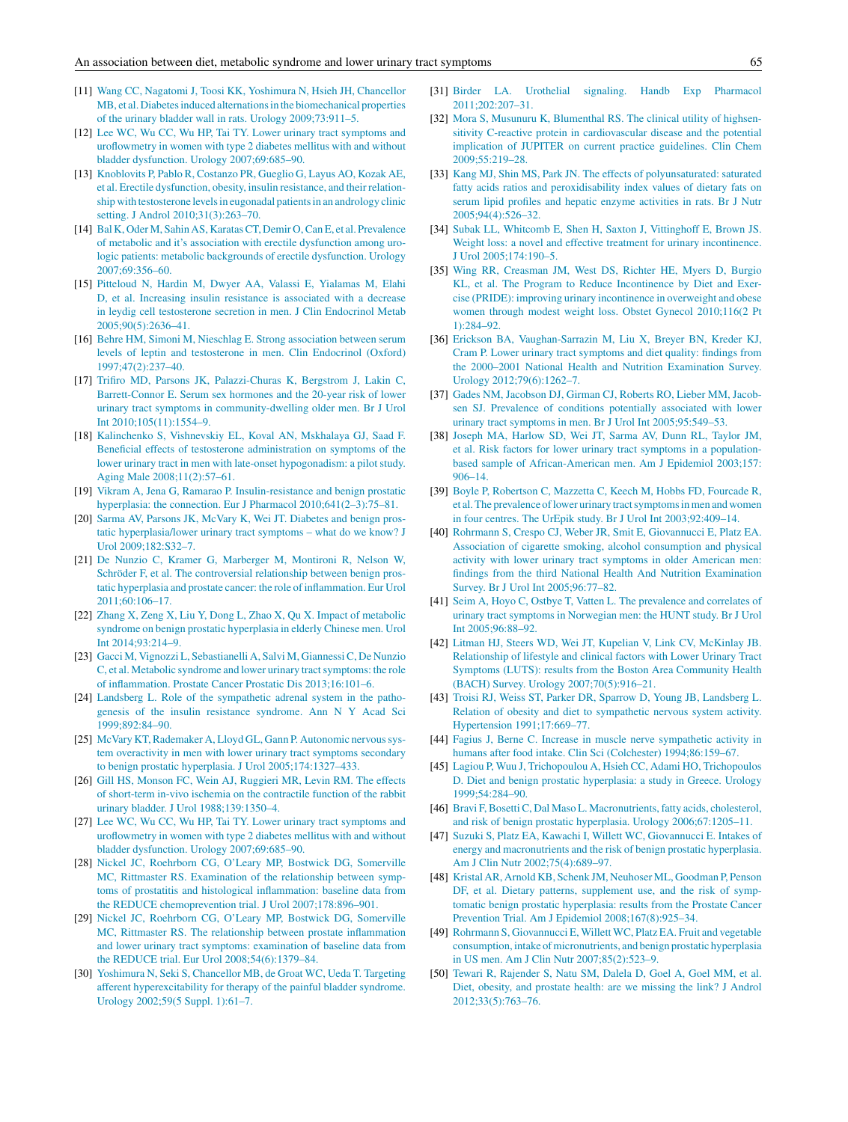- <span id="page-4-0"></span>[11] [Wang](http://refhub.elsevier.com/S1110-5704(16)30022-4/sbref0440) [CC,](http://refhub.elsevier.com/S1110-5704(16)30022-4/sbref0440) [Nagatomi](http://refhub.elsevier.com/S1110-5704(16)30022-4/sbref0440) [J,](http://refhub.elsevier.com/S1110-5704(16)30022-4/sbref0440) [Toosi](http://refhub.elsevier.com/S1110-5704(16)30022-4/sbref0440) [KK,](http://refhub.elsevier.com/S1110-5704(16)30022-4/sbref0440) [Yoshimura](http://refhub.elsevier.com/S1110-5704(16)30022-4/sbref0440) [N,](http://refhub.elsevier.com/S1110-5704(16)30022-4/sbref0440) [Hsieh](http://refhub.elsevier.com/S1110-5704(16)30022-4/sbref0440) [JH,](http://refhub.elsevier.com/S1110-5704(16)30022-4/sbref0440) [Chancellor](http://refhub.elsevier.com/S1110-5704(16)30022-4/sbref0440) [MB,](http://refhub.elsevier.com/S1110-5704(16)30022-4/sbref0440) [et](http://refhub.elsevier.com/S1110-5704(16)30022-4/sbref0440) [al.](http://refhub.elsevier.com/S1110-5704(16)30022-4/sbref0440) Diabetes induced alternations in [the](http://refhub.elsevier.com/S1110-5704(16)30022-4/sbref0440) [biomechanical](http://refhub.elsevier.com/S1110-5704(16)30022-4/sbref0440) [properties](http://refhub.elsevier.com/S1110-5704(16)30022-4/sbref0440) [of](http://refhub.elsevier.com/S1110-5704(16)30022-4/sbref0440) [the](http://refhub.elsevier.com/S1110-5704(16)30022-4/sbref0440) [urinary](http://refhub.elsevier.com/S1110-5704(16)30022-4/sbref0440) [bladder](http://refhub.elsevier.com/S1110-5704(16)30022-4/sbref0440) [wall](http://refhub.elsevier.com/S1110-5704(16)30022-4/sbref0440) [in](http://refhub.elsevier.com/S1110-5704(16)30022-4/sbref0440) [rats.](http://refhub.elsevier.com/S1110-5704(16)30022-4/sbref0440) [Urology](http://refhub.elsevier.com/S1110-5704(16)30022-4/sbref0440) [2009;73:911–5.](http://refhub.elsevier.com/S1110-5704(16)30022-4/sbref0440)
- [12] [Lee](http://refhub.elsevier.com/S1110-5704(16)30022-4/sbref0445) [WC,](http://refhub.elsevier.com/S1110-5704(16)30022-4/sbref0445) [Wu](http://refhub.elsevier.com/S1110-5704(16)30022-4/sbref0445) [CC,](http://refhub.elsevier.com/S1110-5704(16)30022-4/sbref0445) Wu [HP,](http://refhub.elsevier.com/S1110-5704(16)30022-4/sbref0445) [Tai](http://refhub.elsevier.com/S1110-5704(16)30022-4/sbref0445) [TY.](http://refhub.elsevier.com/S1110-5704(16)30022-4/sbref0445) [Lower](http://refhub.elsevier.com/S1110-5704(16)30022-4/sbref0445) [urinary](http://refhub.elsevier.com/S1110-5704(16)30022-4/sbref0445) [tract](http://refhub.elsevier.com/S1110-5704(16)30022-4/sbref0445) [symptoms](http://refhub.elsevier.com/S1110-5704(16)30022-4/sbref0445) [and](http://refhub.elsevier.com/S1110-5704(16)30022-4/sbref0445) [uroflowmetry](http://refhub.elsevier.com/S1110-5704(16)30022-4/sbref0445) [in](http://refhub.elsevier.com/S1110-5704(16)30022-4/sbref0445) [women](http://refhub.elsevier.com/S1110-5704(16)30022-4/sbref0445) [with](http://refhub.elsevier.com/S1110-5704(16)30022-4/sbref0445) [type](http://refhub.elsevier.com/S1110-5704(16)30022-4/sbref0445) [2](http://refhub.elsevier.com/S1110-5704(16)30022-4/sbref0445) [diabetes](http://refhub.elsevier.com/S1110-5704(16)30022-4/sbref0445) [mellitus](http://refhub.elsevier.com/S1110-5704(16)30022-4/sbref0445) [with](http://refhub.elsevier.com/S1110-5704(16)30022-4/sbref0445) [and](http://refhub.elsevier.com/S1110-5704(16)30022-4/sbref0445) [without](http://refhub.elsevier.com/S1110-5704(16)30022-4/sbref0445) [bladder](http://refhub.elsevier.com/S1110-5704(16)30022-4/sbref0445) [dysfunction.](http://refhub.elsevier.com/S1110-5704(16)30022-4/sbref0445) [Urology](http://refhub.elsevier.com/S1110-5704(16)30022-4/sbref0445) [2007;69:685](http://refhub.elsevier.com/S1110-5704(16)30022-4/sbref0445)–[90.](http://refhub.elsevier.com/S1110-5704(16)30022-4/sbref0445)
- [13] [Knoblovits](http://refhub.elsevier.com/S1110-5704(16)30022-4/sbref0450) [P,](http://refhub.elsevier.com/S1110-5704(16)30022-4/sbref0450) [Pablo](http://refhub.elsevier.com/S1110-5704(16)30022-4/sbref0450) [R,](http://refhub.elsevier.com/S1110-5704(16)30022-4/sbref0450) [Costanzo](http://refhub.elsevier.com/S1110-5704(16)30022-4/sbref0450) [PR,](http://refhub.elsevier.com/S1110-5704(16)30022-4/sbref0450) [Gueglio](http://refhub.elsevier.com/S1110-5704(16)30022-4/sbref0450) [G,](http://refhub.elsevier.com/S1110-5704(16)30022-4/sbref0450) [Layus](http://refhub.elsevier.com/S1110-5704(16)30022-4/sbref0450) [AO,](http://refhub.elsevier.com/S1110-5704(16)30022-4/sbref0450) [Kozak](http://refhub.elsevier.com/S1110-5704(16)30022-4/sbref0450) [AE,](http://refhub.elsevier.com/S1110-5704(16)30022-4/sbref0450) [et](http://refhub.elsevier.com/S1110-5704(16)30022-4/sbref0450) [al.](http://refhub.elsevier.com/S1110-5704(16)30022-4/sbref0450) [Erectile](http://refhub.elsevier.com/S1110-5704(16)30022-4/sbref0450) [dysfunction,](http://refhub.elsevier.com/S1110-5704(16)30022-4/sbref0450) [obesity,](http://refhub.elsevier.com/S1110-5704(16)30022-4/sbref0450) [insulin](http://refhub.elsevier.com/S1110-5704(16)30022-4/sbref0450) [resistance,](http://refhub.elsevier.com/S1110-5704(16)30022-4/sbref0450) [and](http://refhub.elsevier.com/S1110-5704(16)30022-4/sbref0450) [their](http://refhub.elsevier.com/S1110-5704(16)30022-4/sbref0450) [relation](http://refhub.elsevier.com/S1110-5704(16)30022-4/sbref0450)[ship](http://refhub.elsevier.com/S1110-5704(16)30022-4/sbref0450) [with](http://refhub.elsevier.com/S1110-5704(16)30022-4/sbref0450) [testosterone](http://refhub.elsevier.com/S1110-5704(16)30022-4/sbref0450) [levelsin](http://refhub.elsevier.com/S1110-5704(16)30022-4/sbref0450) [eugonadal](http://refhub.elsevier.com/S1110-5704(16)30022-4/sbref0450) [patientsin](http://refhub.elsevier.com/S1110-5704(16)30022-4/sbref0450) [an](http://refhub.elsevier.com/S1110-5704(16)30022-4/sbref0450) [andrology](http://refhub.elsevier.com/S1110-5704(16)30022-4/sbref0450) [clinic](http://refhub.elsevier.com/S1110-5704(16)30022-4/sbref0450) [setting.](http://refhub.elsevier.com/S1110-5704(16)30022-4/sbref0450) [J](http://refhub.elsevier.com/S1110-5704(16)30022-4/sbref0450) [Androl](http://refhub.elsevier.com/S1110-5704(16)30022-4/sbref0450) [2010;31\(3\):263](http://refhub.elsevier.com/S1110-5704(16)30022-4/sbref0450)–[70.](http://refhub.elsevier.com/S1110-5704(16)30022-4/sbref0450)
- [14] [Bal](http://refhub.elsevier.com/S1110-5704(16)30022-4/sbref0455) [K,](http://refhub.elsevier.com/S1110-5704(16)30022-4/sbref0455) [Oder](http://refhub.elsevier.com/S1110-5704(16)30022-4/sbref0455) [M,](http://refhub.elsevier.com/S1110-5704(16)30022-4/sbref0455) [Sahin](http://refhub.elsevier.com/S1110-5704(16)30022-4/sbref0455) [AS,](http://refhub.elsevier.com/S1110-5704(16)30022-4/sbref0455) [KaratasCT,](http://refhub.elsevier.com/S1110-5704(16)30022-4/sbref0455) [Demir](http://refhub.elsevier.com/S1110-5704(16)30022-4/sbref0455) [O,Can](http://refhub.elsevier.com/S1110-5704(16)30022-4/sbref0455) [E,](http://refhub.elsevier.com/S1110-5704(16)30022-4/sbref0455) [et](http://refhub.elsevier.com/S1110-5704(16)30022-4/sbref0455) [al.](http://refhub.elsevier.com/S1110-5704(16)30022-4/sbref0455) [Prevalence](http://refhub.elsevier.com/S1110-5704(16)30022-4/sbref0455) [of](http://refhub.elsevier.com/S1110-5704(16)30022-4/sbref0455) [metabolic](http://refhub.elsevier.com/S1110-5704(16)30022-4/sbref0455) [and](http://refhub.elsevier.com/S1110-5704(16)30022-4/sbref0455) [it's](http://refhub.elsevier.com/S1110-5704(16)30022-4/sbref0455) [association](http://refhub.elsevier.com/S1110-5704(16)30022-4/sbref0455) [with](http://refhub.elsevier.com/S1110-5704(16)30022-4/sbref0455) [erectile](http://refhub.elsevier.com/S1110-5704(16)30022-4/sbref0455) [dysfunction](http://refhub.elsevier.com/S1110-5704(16)30022-4/sbref0455) [among](http://refhub.elsevier.com/S1110-5704(16)30022-4/sbref0455) [uro](http://refhub.elsevier.com/S1110-5704(16)30022-4/sbref0455)[logic](http://refhub.elsevier.com/S1110-5704(16)30022-4/sbref0455) [patients:](http://refhub.elsevier.com/S1110-5704(16)30022-4/sbref0455) [metabolic](http://refhub.elsevier.com/S1110-5704(16)30022-4/sbref0455) [backgrounds](http://refhub.elsevier.com/S1110-5704(16)30022-4/sbref0455) [of](http://refhub.elsevier.com/S1110-5704(16)30022-4/sbref0455) [erectile](http://refhub.elsevier.com/S1110-5704(16)30022-4/sbref0455) [dysfunction.](http://refhub.elsevier.com/S1110-5704(16)30022-4/sbref0455) [Urology](http://refhub.elsevier.com/S1110-5704(16)30022-4/sbref0455) [2007;69:356–60.](http://refhub.elsevier.com/S1110-5704(16)30022-4/sbref0455)
- [15] [Pitteloud](http://refhub.elsevier.com/S1110-5704(16)30022-4/sbref0460) [N,](http://refhub.elsevier.com/S1110-5704(16)30022-4/sbref0460) [Hardin](http://refhub.elsevier.com/S1110-5704(16)30022-4/sbref0460) [M,](http://refhub.elsevier.com/S1110-5704(16)30022-4/sbref0460) [Dwyer](http://refhub.elsevier.com/S1110-5704(16)30022-4/sbref0460) [AA,](http://refhub.elsevier.com/S1110-5704(16)30022-4/sbref0460) [Valassi](http://refhub.elsevier.com/S1110-5704(16)30022-4/sbref0460) [E,](http://refhub.elsevier.com/S1110-5704(16)30022-4/sbref0460) [Yialamas](http://refhub.elsevier.com/S1110-5704(16)30022-4/sbref0460) [M,](http://refhub.elsevier.com/S1110-5704(16)30022-4/sbref0460) [Elahi](http://refhub.elsevier.com/S1110-5704(16)30022-4/sbref0460) [D,](http://refhub.elsevier.com/S1110-5704(16)30022-4/sbref0460) [et](http://refhub.elsevier.com/S1110-5704(16)30022-4/sbref0460) [al.](http://refhub.elsevier.com/S1110-5704(16)30022-4/sbref0460) [Increasing](http://refhub.elsevier.com/S1110-5704(16)30022-4/sbref0460) [insulin](http://refhub.elsevier.com/S1110-5704(16)30022-4/sbref0460) [resistance](http://refhub.elsevier.com/S1110-5704(16)30022-4/sbref0460) [is](http://refhub.elsevier.com/S1110-5704(16)30022-4/sbref0460) [associated](http://refhub.elsevier.com/S1110-5704(16)30022-4/sbref0460) [with](http://refhub.elsevier.com/S1110-5704(16)30022-4/sbref0460) [a](http://refhub.elsevier.com/S1110-5704(16)30022-4/sbref0460) [decrease](http://refhub.elsevier.com/S1110-5704(16)30022-4/sbref0460) [in](http://refhub.elsevier.com/S1110-5704(16)30022-4/sbref0460) [leydig](http://refhub.elsevier.com/S1110-5704(16)30022-4/sbref0460) [cell](http://refhub.elsevier.com/S1110-5704(16)30022-4/sbref0460) [testosterone](http://refhub.elsevier.com/S1110-5704(16)30022-4/sbref0460) [secretion](http://refhub.elsevier.com/S1110-5704(16)30022-4/sbref0460) [in](http://refhub.elsevier.com/S1110-5704(16)30022-4/sbref0460) [men.](http://refhub.elsevier.com/S1110-5704(16)30022-4/sbref0460) [J](http://refhub.elsevier.com/S1110-5704(16)30022-4/sbref0460) [Clin](http://refhub.elsevier.com/S1110-5704(16)30022-4/sbref0460) [Endocrinol](http://refhub.elsevier.com/S1110-5704(16)30022-4/sbref0460) [Metab](http://refhub.elsevier.com/S1110-5704(16)30022-4/sbref0460) [2005;90\(5\):2636–41.](http://refhub.elsevier.com/S1110-5704(16)30022-4/sbref0460)
- [16] [Behre](http://refhub.elsevier.com/S1110-5704(16)30022-4/sbref0465) [HM,](http://refhub.elsevier.com/S1110-5704(16)30022-4/sbref0465) [Simoni](http://refhub.elsevier.com/S1110-5704(16)30022-4/sbref0465) [M,](http://refhub.elsevier.com/S1110-5704(16)30022-4/sbref0465) [Nieschlag](http://refhub.elsevier.com/S1110-5704(16)30022-4/sbref0465) [E.](http://refhub.elsevier.com/S1110-5704(16)30022-4/sbref0465) [Strong](http://refhub.elsevier.com/S1110-5704(16)30022-4/sbref0465) [association](http://refhub.elsevier.com/S1110-5704(16)30022-4/sbref0465) [between](http://refhub.elsevier.com/S1110-5704(16)30022-4/sbref0465) [serum](http://refhub.elsevier.com/S1110-5704(16)30022-4/sbref0465) [levels](http://refhub.elsevier.com/S1110-5704(16)30022-4/sbref0465) [of](http://refhub.elsevier.com/S1110-5704(16)30022-4/sbref0465) [leptin](http://refhub.elsevier.com/S1110-5704(16)30022-4/sbref0465) [and](http://refhub.elsevier.com/S1110-5704(16)30022-4/sbref0465) [testosterone](http://refhub.elsevier.com/S1110-5704(16)30022-4/sbref0465) [in](http://refhub.elsevier.com/S1110-5704(16)30022-4/sbref0465) [men.](http://refhub.elsevier.com/S1110-5704(16)30022-4/sbref0465) [Clin](http://refhub.elsevier.com/S1110-5704(16)30022-4/sbref0465) [Endocrinol](http://refhub.elsevier.com/S1110-5704(16)30022-4/sbref0465) [\(Oxford\)](http://refhub.elsevier.com/S1110-5704(16)30022-4/sbref0465) [1997;47\(2\):237–40.](http://refhub.elsevier.com/S1110-5704(16)30022-4/sbref0465)
- [17] [Trifiro](http://refhub.elsevier.com/S1110-5704(16)30022-4/sbref0470) [MD,](http://refhub.elsevier.com/S1110-5704(16)30022-4/sbref0470) [Parsons](http://refhub.elsevier.com/S1110-5704(16)30022-4/sbref0470) [JK,](http://refhub.elsevier.com/S1110-5704(16)30022-4/sbref0470) [Palazzi-Churas](http://refhub.elsevier.com/S1110-5704(16)30022-4/sbref0470) [K,](http://refhub.elsevier.com/S1110-5704(16)30022-4/sbref0470) [Bergstrom](http://refhub.elsevier.com/S1110-5704(16)30022-4/sbref0470) [J,](http://refhub.elsevier.com/S1110-5704(16)30022-4/sbref0470) [Lakin](http://refhub.elsevier.com/S1110-5704(16)30022-4/sbref0470) [C,](http://refhub.elsevier.com/S1110-5704(16)30022-4/sbref0470) [Barrett-Connor](http://refhub.elsevier.com/S1110-5704(16)30022-4/sbref0470) [E.](http://refhub.elsevier.com/S1110-5704(16)30022-4/sbref0470) [Serum](http://refhub.elsevier.com/S1110-5704(16)30022-4/sbref0470) [sex](http://refhub.elsevier.com/S1110-5704(16)30022-4/sbref0470) [hormones](http://refhub.elsevier.com/S1110-5704(16)30022-4/sbref0470) [and](http://refhub.elsevier.com/S1110-5704(16)30022-4/sbref0470) [the](http://refhub.elsevier.com/S1110-5704(16)30022-4/sbref0470) [20-year](http://refhub.elsevier.com/S1110-5704(16)30022-4/sbref0470) [risk](http://refhub.elsevier.com/S1110-5704(16)30022-4/sbref0470) [of](http://refhub.elsevier.com/S1110-5704(16)30022-4/sbref0470) [lower](http://refhub.elsevier.com/S1110-5704(16)30022-4/sbref0470) [urinary](http://refhub.elsevier.com/S1110-5704(16)30022-4/sbref0470) [tract](http://refhub.elsevier.com/S1110-5704(16)30022-4/sbref0470) [symptoms](http://refhub.elsevier.com/S1110-5704(16)30022-4/sbref0470) [in](http://refhub.elsevier.com/S1110-5704(16)30022-4/sbref0470) [community-dwelling](http://refhub.elsevier.com/S1110-5704(16)30022-4/sbref0470) [older](http://refhub.elsevier.com/S1110-5704(16)30022-4/sbref0470) [men.](http://refhub.elsevier.com/S1110-5704(16)30022-4/sbref0470) [Br](http://refhub.elsevier.com/S1110-5704(16)30022-4/sbref0470) [J](http://refhub.elsevier.com/S1110-5704(16)30022-4/sbref0470) [Urol](http://refhub.elsevier.com/S1110-5704(16)30022-4/sbref0470) [Int](http://refhub.elsevier.com/S1110-5704(16)30022-4/sbref0470) [2010;105\(11\):1554–9.](http://refhub.elsevier.com/S1110-5704(16)30022-4/sbref0470)
- [18] [Kalinchenko](http://refhub.elsevier.com/S1110-5704(16)30022-4/sbref0475) [S,](http://refhub.elsevier.com/S1110-5704(16)30022-4/sbref0475) [Vishnevskiy](http://refhub.elsevier.com/S1110-5704(16)30022-4/sbref0475) [EL,](http://refhub.elsevier.com/S1110-5704(16)30022-4/sbref0475) [Koval](http://refhub.elsevier.com/S1110-5704(16)30022-4/sbref0475) [AN,](http://refhub.elsevier.com/S1110-5704(16)30022-4/sbref0475) [Mskhalaya](http://refhub.elsevier.com/S1110-5704(16)30022-4/sbref0475) [GJ,](http://refhub.elsevier.com/S1110-5704(16)30022-4/sbref0475) [Saad](http://refhub.elsevier.com/S1110-5704(16)30022-4/sbref0475) [F.](http://refhub.elsevier.com/S1110-5704(16)30022-4/sbref0475) [Beneficial](http://refhub.elsevier.com/S1110-5704(16)30022-4/sbref0475) [effects](http://refhub.elsevier.com/S1110-5704(16)30022-4/sbref0475) [of](http://refhub.elsevier.com/S1110-5704(16)30022-4/sbref0475) [testosterone](http://refhub.elsevier.com/S1110-5704(16)30022-4/sbref0475) [administration](http://refhub.elsevier.com/S1110-5704(16)30022-4/sbref0475) [on](http://refhub.elsevier.com/S1110-5704(16)30022-4/sbref0475) [symptoms](http://refhub.elsevier.com/S1110-5704(16)30022-4/sbref0475) [of](http://refhub.elsevier.com/S1110-5704(16)30022-4/sbref0475) [the](http://refhub.elsevier.com/S1110-5704(16)30022-4/sbref0475) [lower](http://refhub.elsevier.com/S1110-5704(16)30022-4/sbref0475) [urinary](http://refhub.elsevier.com/S1110-5704(16)30022-4/sbref0475) [tract](http://refhub.elsevier.com/S1110-5704(16)30022-4/sbref0475) [in](http://refhub.elsevier.com/S1110-5704(16)30022-4/sbref0475) [men](http://refhub.elsevier.com/S1110-5704(16)30022-4/sbref0475) [with](http://refhub.elsevier.com/S1110-5704(16)30022-4/sbref0475) [late-onset](http://refhub.elsevier.com/S1110-5704(16)30022-4/sbref0475) [hypogonadism:](http://refhub.elsevier.com/S1110-5704(16)30022-4/sbref0475) [a](http://refhub.elsevier.com/S1110-5704(16)30022-4/sbref0475) [pilot](http://refhub.elsevier.com/S1110-5704(16)30022-4/sbref0475) [study.](http://refhub.elsevier.com/S1110-5704(16)30022-4/sbref0475) [Aging](http://refhub.elsevier.com/S1110-5704(16)30022-4/sbref0475) [Male](http://refhub.elsevier.com/S1110-5704(16)30022-4/sbref0475) [2008;11\(2\):57–61.](http://refhub.elsevier.com/S1110-5704(16)30022-4/sbref0475)
- [19] [Vikram](http://refhub.elsevier.com/S1110-5704(16)30022-4/sbref0480) [A,](http://refhub.elsevier.com/S1110-5704(16)30022-4/sbref0480) [Jena](http://refhub.elsevier.com/S1110-5704(16)30022-4/sbref0480) [G,](http://refhub.elsevier.com/S1110-5704(16)30022-4/sbref0480) [Ramarao](http://refhub.elsevier.com/S1110-5704(16)30022-4/sbref0480) [P.](http://refhub.elsevier.com/S1110-5704(16)30022-4/sbref0480) [Insulin-resistance](http://refhub.elsevier.com/S1110-5704(16)30022-4/sbref0480) [and](http://refhub.elsevier.com/S1110-5704(16)30022-4/sbref0480) [benign](http://refhub.elsevier.com/S1110-5704(16)30022-4/sbref0480) [prostatic](http://refhub.elsevier.com/S1110-5704(16)30022-4/sbref0480) [hyperplasia:](http://refhub.elsevier.com/S1110-5704(16)30022-4/sbref0480) [the](http://refhub.elsevier.com/S1110-5704(16)30022-4/sbref0480) [connection.](http://refhub.elsevier.com/S1110-5704(16)30022-4/sbref0480) [Eur](http://refhub.elsevier.com/S1110-5704(16)30022-4/sbref0480) [J](http://refhub.elsevier.com/S1110-5704(16)30022-4/sbref0480) [Pharmacol](http://refhub.elsevier.com/S1110-5704(16)30022-4/sbref0480) [2010;641\(2–3\):75–81.](http://refhub.elsevier.com/S1110-5704(16)30022-4/sbref0480)
- [20] [Sarma](http://refhub.elsevier.com/S1110-5704(16)30022-4/sbref0485) [AV,](http://refhub.elsevier.com/S1110-5704(16)30022-4/sbref0485) [Parsons](http://refhub.elsevier.com/S1110-5704(16)30022-4/sbref0485) [JK,](http://refhub.elsevier.com/S1110-5704(16)30022-4/sbref0485) [McVary](http://refhub.elsevier.com/S1110-5704(16)30022-4/sbref0485) [K,](http://refhub.elsevier.com/S1110-5704(16)30022-4/sbref0485) [Wei](http://refhub.elsevier.com/S1110-5704(16)30022-4/sbref0485) [JT.](http://refhub.elsevier.com/S1110-5704(16)30022-4/sbref0485) [Diabetes](http://refhub.elsevier.com/S1110-5704(16)30022-4/sbref0485) [and](http://refhub.elsevier.com/S1110-5704(16)30022-4/sbref0485) [benign](http://refhub.elsevier.com/S1110-5704(16)30022-4/sbref0485) [pros](http://refhub.elsevier.com/S1110-5704(16)30022-4/sbref0485)[tatic](http://refhub.elsevier.com/S1110-5704(16)30022-4/sbref0485) [hyperplasia/lower](http://refhub.elsevier.com/S1110-5704(16)30022-4/sbref0485) [urinary](http://refhub.elsevier.com/S1110-5704(16)30022-4/sbref0485) [tract](http://refhub.elsevier.com/S1110-5704(16)30022-4/sbref0485) [symptoms](http://refhub.elsevier.com/S1110-5704(16)30022-4/sbref0485) – [what](http://refhub.elsevier.com/S1110-5704(16)30022-4/sbref0485) [do](http://refhub.elsevier.com/S1110-5704(16)30022-4/sbref0485) [we](http://refhub.elsevier.com/S1110-5704(16)30022-4/sbref0485) [know?](http://refhub.elsevier.com/S1110-5704(16)30022-4/sbref0485) [J](http://refhub.elsevier.com/S1110-5704(16)30022-4/sbref0485) [Urol](http://refhub.elsevier.com/S1110-5704(16)30022-4/sbref0485) [2009;182:S32–7.](http://refhub.elsevier.com/S1110-5704(16)30022-4/sbref0485)
- [21] [De](http://refhub.elsevier.com/S1110-5704(16)30022-4/sbref0490) [Nunzio](http://refhub.elsevier.com/S1110-5704(16)30022-4/sbref0490) [C,](http://refhub.elsevier.com/S1110-5704(16)30022-4/sbref0490) [Kramer](http://refhub.elsevier.com/S1110-5704(16)30022-4/sbref0490) [G,](http://refhub.elsevier.com/S1110-5704(16)30022-4/sbref0490) [Marberger](http://refhub.elsevier.com/S1110-5704(16)30022-4/sbref0490) [M,](http://refhub.elsevier.com/S1110-5704(16)30022-4/sbref0490) [Montironi](http://refhub.elsevier.com/S1110-5704(16)30022-4/sbref0490) [R,](http://refhub.elsevier.com/S1110-5704(16)30022-4/sbref0490) [Nelson](http://refhub.elsevier.com/S1110-5704(16)30022-4/sbref0490) [W,](http://refhub.elsevier.com/S1110-5704(16)30022-4/sbref0490) [Schröder](http://refhub.elsevier.com/S1110-5704(16)30022-4/sbref0490) [F,](http://refhub.elsevier.com/S1110-5704(16)30022-4/sbref0490) [et](http://refhub.elsevier.com/S1110-5704(16)30022-4/sbref0490) [al.](http://refhub.elsevier.com/S1110-5704(16)30022-4/sbref0490) [The](http://refhub.elsevier.com/S1110-5704(16)30022-4/sbref0490) [controversial](http://refhub.elsevier.com/S1110-5704(16)30022-4/sbref0490) [relationship](http://refhub.elsevier.com/S1110-5704(16)30022-4/sbref0490) [between](http://refhub.elsevier.com/S1110-5704(16)30022-4/sbref0490) [benign](http://refhub.elsevier.com/S1110-5704(16)30022-4/sbref0490) [pros](http://refhub.elsevier.com/S1110-5704(16)30022-4/sbref0490)[tatic](http://refhub.elsevier.com/S1110-5704(16)30022-4/sbref0490) [hyperplasia](http://refhub.elsevier.com/S1110-5704(16)30022-4/sbref0490) [and](http://refhub.elsevier.com/S1110-5704(16)30022-4/sbref0490) [prostate](http://refhub.elsevier.com/S1110-5704(16)30022-4/sbref0490) [cancer:](http://refhub.elsevier.com/S1110-5704(16)30022-4/sbref0490) [the](http://refhub.elsevier.com/S1110-5704(16)30022-4/sbref0490) [role](http://refhub.elsevier.com/S1110-5704(16)30022-4/sbref0490) [of](http://refhub.elsevier.com/S1110-5704(16)30022-4/sbref0490) [inflammation.](http://refhub.elsevier.com/S1110-5704(16)30022-4/sbref0490) [Eur](http://refhub.elsevier.com/S1110-5704(16)30022-4/sbref0490) [Urol](http://refhub.elsevier.com/S1110-5704(16)30022-4/sbref0490) [2011;60:106–17.](http://refhub.elsevier.com/S1110-5704(16)30022-4/sbref0490)
- [22] [Zhang](http://refhub.elsevier.com/S1110-5704(16)30022-4/sbref0495) [X,](http://refhub.elsevier.com/S1110-5704(16)30022-4/sbref0495) [Zeng](http://refhub.elsevier.com/S1110-5704(16)30022-4/sbref0495) [X,](http://refhub.elsevier.com/S1110-5704(16)30022-4/sbref0495) [Liu](http://refhub.elsevier.com/S1110-5704(16)30022-4/sbref0495) [Y,](http://refhub.elsevier.com/S1110-5704(16)30022-4/sbref0495) [Dong](http://refhub.elsevier.com/S1110-5704(16)30022-4/sbref0495) [L,](http://refhub.elsevier.com/S1110-5704(16)30022-4/sbref0495) [Zhao](http://refhub.elsevier.com/S1110-5704(16)30022-4/sbref0495) [X,](http://refhub.elsevier.com/S1110-5704(16)30022-4/sbref0495) [Qu](http://refhub.elsevier.com/S1110-5704(16)30022-4/sbref0495) [X.](http://refhub.elsevier.com/S1110-5704(16)30022-4/sbref0495) [Impact](http://refhub.elsevier.com/S1110-5704(16)30022-4/sbref0495) [of](http://refhub.elsevier.com/S1110-5704(16)30022-4/sbref0495) [metabolic](http://refhub.elsevier.com/S1110-5704(16)30022-4/sbref0495) [syndrome](http://refhub.elsevier.com/S1110-5704(16)30022-4/sbref0495) [on](http://refhub.elsevier.com/S1110-5704(16)30022-4/sbref0495) [benign](http://refhub.elsevier.com/S1110-5704(16)30022-4/sbref0495) [prostatic](http://refhub.elsevier.com/S1110-5704(16)30022-4/sbref0495) [hyperplasia](http://refhub.elsevier.com/S1110-5704(16)30022-4/sbref0495) [in](http://refhub.elsevier.com/S1110-5704(16)30022-4/sbref0495) [elderly](http://refhub.elsevier.com/S1110-5704(16)30022-4/sbref0495) [Chinese](http://refhub.elsevier.com/S1110-5704(16)30022-4/sbref0495) [men.](http://refhub.elsevier.com/S1110-5704(16)30022-4/sbref0495) [Urol](http://refhub.elsevier.com/S1110-5704(16)30022-4/sbref0495) [Int](http://refhub.elsevier.com/S1110-5704(16)30022-4/sbref0495)  $2014.93.214 - 9$ .
- [23] [Gacci](http://refhub.elsevier.com/S1110-5704(16)30022-4/sbref0500) [M,](http://refhub.elsevier.com/S1110-5704(16)30022-4/sbref0500) [Vignozzi](http://refhub.elsevier.com/S1110-5704(16)30022-4/sbref0500) [L,](http://refhub.elsevier.com/S1110-5704(16)30022-4/sbref0500) [Sebastianelli](http://refhub.elsevier.com/S1110-5704(16)30022-4/sbref0500) [A,](http://refhub.elsevier.com/S1110-5704(16)30022-4/sbref0500) [Salvi](http://refhub.elsevier.com/S1110-5704(16)30022-4/sbref0500) [M,](http://refhub.elsevier.com/S1110-5704(16)30022-4/sbref0500) [GiannessiC,](http://refhub.elsevier.com/S1110-5704(16)30022-4/sbref0500) [De](http://refhub.elsevier.com/S1110-5704(16)30022-4/sbref0500) [Nunzio](http://refhub.elsevier.com/S1110-5704(16)30022-4/sbref0500) [C,](http://refhub.elsevier.com/S1110-5704(16)30022-4/sbref0500) [et](http://refhub.elsevier.com/S1110-5704(16)30022-4/sbref0500) [al.](http://refhub.elsevier.com/S1110-5704(16)30022-4/sbref0500) [Metabolic](http://refhub.elsevier.com/S1110-5704(16)30022-4/sbref0500) [syndrome](http://refhub.elsevier.com/S1110-5704(16)30022-4/sbref0500) [and](http://refhub.elsevier.com/S1110-5704(16)30022-4/sbref0500) [lower](http://refhub.elsevier.com/S1110-5704(16)30022-4/sbref0500) [urinary](http://refhub.elsevier.com/S1110-5704(16)30022-4/sbref0500) tract symptoms: [the](http://refhub.elsevier.com/S1110-5704(16)30022-4/sbref0500) [role](http://refhub.elsevier.com/S1110-5704(16)30022-4/sbref0500) [of](http://refhub.elsevier.com/S1110-5704(16)30022-4/sbref0500) [inflammation.](http://refhub.elsevier.com/S1110-5704(16)30022-4/sbref0500) [Prostate](http://refhub.elsevier.com/S1110-5704(16)30022-4/sbref0500) [Cancer](http://refhub.elsevier.com/S1110-5704(16)30022-4/sbref0500) [Prostatic](http://refhub.elsevier.com/S1110-5704(16)30022-4/sbref0500) [Dis](http://refhub.elsevier.com/S1110-5704(16)30022-4/sbref0500) [2013;16:101–6.](http://refhub.elsevier.com/S1110-5704(16)30022-4/sbref0500)
- [24] [Landsberg](http://refhub.elsevier.com/S1110-5704(16)30022-4/sbref0505) [L.](http://refhub.elsevier.com/S1110-5704(16)30022-4/sbref0505) [Role](http://refhub.elsevier.com/S1110-5704(16)30022-4/sbref0505) [of](http://refhub.elsevier.com/S1110-5704(16)30022-4/sbref0505) [the](http://refhub.elsevier.com/S1110-5704(16)30022-4/sbref0505) [sympathetic](http://refhub.elsevier.com/S1110-5704(16)30022-4/sbref0505) [adrenal](http://refhub.elsevier.com/S1110-5704(16)30022-4/sbref0505) [system](http://refhub.elsevier.com/S1110-5704(16)30022-4/sbref0505) [in](http://refhub.elsevier.com/S1110-5704(16)30022-4/sbref0505) [the](http://refhub.elsevier.com/S1110-5704(16)30022-4/sbref0505) [patho](http://refhub.elsevier.com/S1110-5704(16)30022-4/sbref0505)[genesis](http://refhub.elsevier.com/S1110-5704(16)30022-4/sbref0505) [of](http://refhub.elsevier.com/S1110-5704(16)30022-4/sbref0505) [the](http://refhub.elsevier.com/S1110-5704(16)30022-4/sbref0505) [insulin](http://refhub.elsevier.com/S1110-5704(16)30022-4/sbref0505) [resistance](http://refhub.elsevier.com/S1110-5704(16)30022-4/sbref0505) [syndrome.](http://refhub.elsevier.com/S1110-5704(16)30022-4/sbref0505) [Ann](http://refhub.elsevier.com/S1110-5704(16)30022-4/sbref0505) [N](http://refhub.elsevier.com/S1110-5704(16)30022-4/sbref0505) [Y](http://refhub.elsevier.com/S1110-5704(16)30022-4/sbref0505) [Acad](http://refhub.elsevier.com/S1110-5704(16)30022-4/sbref0505) [Sci](http://refhub.elsevier.com/S1110-5704(16)30022-4/sbref0505) [1999;892:84–90.](http://refhub.elsevier.com/S1110-5704(16)30022-4/sbref0505)
- [25] [McVary](http://refhub.elsevier.com/S1110-5704(16)30022-4/sbref0510) KT, Rademaker [A,](http://refhub.elsevier.com/S1110-5704(16)30022-4/sbref0510) [Lloyd](http://refhub.elsevier.com/S1110-5704(16)30022-4/sbref0510) [GL,](http://refhub.elsevier.com/S1110-5704(16)30022-4/sbref0510) [Gann](http://refhub.elsevier.com/S1110-5704(16)30022-4/sbref0510) [P.](http://refhub.elsevier.com/S1110-5704(16)30022-4/sbref0510) [Autonomic](http://refhub.elsevier.com/S1110-5704(16)30022-4/sbref0510) nervous sys[tem](http://refhub.elsevier.com/S1110-5704(16)30022-4/sbref0510) [overactivity](http://refhub.elsevier.com/S1110-5704(16)30022-4/sbref0510) [in](http://refhub.elsevier.com/S1110-5704(16)30022-4/sbref0510) [men](http://refhub.elsevier.com/S1110-5704(16)30022-4/sbref0510) [with](http://refhub.elsevier.com/S1110-5704(16)30022-4/sbref0510) [lower](http://refhub.elsevier.com/S1110-5704(16)30022-4/sbref0510) [urinary](http://refhub.elsevier.com/S1110-5704(16)30022-4/sbref0510) [tract](http://refhub.elsevier.com/S1110-5704(16)30022-4/sbref0510) [symptoms](http://refhub.elsevier.com/S1110-5704(16)30022-4/sbref0510) [secondary](http://refhub.elsevier.com/S1110-5704(16)30022-4/sbref0510) [to](http://refhub.elsevier.com/S1110-5704(16)30022-4/sbref0510) [benign](http://refhub.elsevier.com/S1110-5704(16)30022-4/sbref0510) [prostatic](http://refhub.elsevier.com/S1110-5704(16)30022-4/sbref0510) [hyperplasia.](http://refhub.elsevier.com/S1110-5704(16)30022-4/sbref0510) [J](http://refhub.elsevier.com/S1110-5704(16)30022-4/sbref0510) [Urol](http://refhub.elsevier.com/S1110-5704(16)30022-4/sbref0510) [2005;174:1327–433.](http://refhub.elsevier.com/S1110-5704(16)30022-4/sbref0510)
- [26] [Gill](http://refhub.elsevier.com/S1110-5704(16)30022-4/sbref0515) [HS,](http://refhub.elsevier.com/S1110-5704(16)30022-4/sbref0515) [Monson](http://refhub.elsevier.com/S1110-5704(16)30022-4/sbref0515) [FC,](http://refhub.elsevier.com/S1110-5704(16)30022-4/sbref0515) [Wein](http://refhub.elsevier.com/S1110-5704(16)30022-4/sbref0515) [AJ,](http://refhub.elsevier.com/S1110-5704(16)30022-4/sbref0515) [Ruggieri](http://refhub.elsevier.com/S1110-5704(16)30022-4/sbref0515) [MR,](http://refhub.elsevier.com/S1110-5704(16)30022-4/sbref0515) [Levin](http://refhub.elsevier.com/S1110-5704(16)30022-4/sbref0515) [RM.](http://refhub.elsevier.com/S1110-5704(16)30022-4/sbref0515) [The](http://refhub.elsevier.com/S1110-5704(16)30022-4/sbref0515) [effects](http://refhub.elsevier.com/S1110-5704(16)30022-4/sbref0515) [of](http://refhub.elsevier.com/S1110-5704(16)30022-4/sbref0515) [short-term](http://refhub.elsevier.com/S1110-5704(16)30022-4/sbref0515) [in-vivo](http://refhub.elsevier.com/S1110-5704(16)30022-4/sbref0515) [ischemia](http://refhub.elsevier.com/S1110-5704(16)30022-4/sbref0515) [on](http://refhub.elsevier.com/S1110-5704(16)30022-4/sbref0515) [the](http://refhub.elsevier.com/S1110-5704(16)30022-4/sbref0515) [contractile](http://refhub.elsevier.com/S1110-5704(16)30022-4/sbref0515) [function](http://refhub.elsevier.com/S1110-5704(16)30022-4/sbref0515) [of](http://refhub.elsevier.com/S1110-5704(16)30022-4/sbref0515) [the](http://refhub.elsevier.com/S1110-5704(16)30022-4/sbref0515) [rabbit](http://refhub.elsevier.com/S1110-5704(16)30022-4/sbref0515) [urinary](http://refhub.elsevier.com/S1110-5704(16)30022-4/sbref0515) [bladder.](http://refhub.elsevier.com/S1110-5704(16)30022-4/sbref0515) [J](http://refhub.elsevier.com/S1110-5704(16)30022-4/sbref0515) [Urol](http://refhub.elsevier.com/S1110-5704(16)30022-4/sbref0515) [1988;139:1350–4.](http://refhub.elsevier.com/S1110-5704(16)30022-4/sbref0515)
- [27] [Lee](http://refhub.elsevier.com/S1110-5704(16)30022-4/sbref0520) [WC,](http://refhub.elsevier.com/S1110-5704(16)30022-4/sbref0520) [Wu](http://refhub.elsevier.com/S1110-5704(16)30022-4/sbref0520) [CC,](http://refhub.elsevier.com/S1110-5704(16)30022-4/sbref0520) [Wu](http://refhub.elsevier.com/S1110-5704(16)30022-4/sbref0520) [HP,](http://refhub.elsevier.com/S1110-5704(16)30022-4/sbref0520) [Tai](http://refhub.elsevier.com/S1110-5704(16)30022-4/sbref0520) [TY.](http://refhub.elsevier.com/S1110-5704(16)30022-4/sbref0520) [Lower](http://refhub.elsevier.com/S1110-5704(16)30022-4/sbref0520) [urinary](http://refhub.elsevier.com/S1110-5704(16)30022-4/sbref0520) [tract](http://refhub.elsevier.com/S1110-5704(16)30022-4/sbref0520) [symptoms](http://refhub.elsevier.com/S1110-5704(16)30022-4/sbref0520) [and](http://refhub.elsevier.com/S1110-5704(16)30022-4/sbref0520) [uroflowmetry](http://refhub.elsevier.com/S1110-5704(16)30022-4/sbref0520) [in](http://refhub.elsevier.com/S1110-5704(16)30022-4/sbref0520) [women](http://refhub.elsevier.com/S1110-5704(16)30022-4/sbref0520) [with](http://refhub.elsevier.com/S1110-5704(16)30022-4/sbref0520) [type](http://refhub.elsevier.com/S1110-5704(16)30022-4/sbref0520) [2](http://refhub.elsevier.com/S1110-5704(16)30022-4/sbref0520) [diabetes](http://refhub.elsevier.com/S1110-5704(16)30022-4/sbref0520) [mellitus](http://refhub.elsevier.com/S1110-5704(16)30022-4/sbref0520) [with](http://refhub.elsevier.com/S1110-5704(16)30022-4/sbref0520) [and](http://refhub.elsevier.com/S1110-5704(16)30022-4/sbref0520) [without](http://refhub.elsevier.com/S1110-5704(16)30022-4/sbref0520) [bladder](http://refhub.elsevier.com/S1110-5704(16)30022-4/sbref0520) [dysfunction.](http://refhub.elsevier.com/S1110-5704(16)30022-4/sbref0520) [Urology](http://refhub.elsevier.com/S1110-5704(16)30022-4/sbref0520) [2007;69:685–90.](http://refhub.elsevier.com/S1110-5704(16)30022-4/sbref0520)
- [28] [Nickel](http://refhub.elsevier.com/S1110-5704(16)30022-4/sbref0525) [JC,](http://refhub.elsevier.com/S1110-5704(16)30022-4/sbref0525) [Roehrborn](http://refhub.elsevier.com/S1110-5704(16)30022-4/sbref0525) [CG,](http://refhub.elsevier.com/S1110-5704(16)30022-4/sbref0525) [O'Leary](http://refhub.elsevier.com/S1110-5704(16)30022-4/sbref0525) [MP,](http://refhub.elsevier.com/S1110-5704(16)30022-4/sbref0525) [Bostwick](http://refhub.elsevier.com/S1110-5704(16)30022-4/sbref0525) [DG,](http://refhub.elsevier.com/S1110-5704(16)30022-4/sbref0525) [Somerville](http://refhub.elsevier.com/S1110-5704(16)30022-4/sbref0525) [MC,](http://refhub.elsevier.com/S1110-5704(16)30022-4/sbref0525) [Rittmaster](http://refhub.elsevier.com/S1110-5704(16)30022-4/sbref0525) [RS.](http://refhub.elsevier.com/S1110-5704(16)30022-4/sbref0525) [Examination](http://refhub.elsevier.com/S1110-5704(16)30022-4/sbref0525) [of](http://refhub.elsevier.com/S1110-5704(16)30022-4/sbref0525) [the](http://refhub.elsevier.com/S1110-5704(16)30022-4/sbref0525) [relationship](http://refhub.elsevier.com/S1110-5704(16)30022-4/sbref0525) [between](http://refhub.elsevier.com/S1110-5704(16)30022-4/sbref0525) [symp](http://refhub.elsevier.com/S1110-5704(16)30022-4/sbref0525)[toms](http://refhub.elsevier.com/S1110-5704(16)30022-4/sbref0525) [of](http://refhub.elsevier.com/S1110-5704(16)30022-4/sbref0525) [prostatitis](http://refhub.elsevier.com/S1110-5704(16)30022-4/sbref0525) [and](http://refhub.elsevier.com/S1110-5704(16)30022-4/sbref0525) [histological](http://refhub.elsevier.com/S1110-5704(16)30022-4/sbref0525) [inflammation:](http://refhub.elsevier.com/S1110-5704(16)30022-4/sbref0525) [baseline](http://refhub.elsevier.com/S1110-5704(16)30022-4/sbref0525) [data](http://refhub.elsevier.com/S1110-5704(16)30022-4/sbref0525) [from](http://refhub.elsevier.com/S1110-5704(16)30022-4/sbref0525) [the](http://refhub.elsevier.com/S1110-5704(16)30022-4/sbref0525) [REDUCE](http://refhub.elsevier.com/S1110-5704(16)30022-4/sbref0525) [chemoprevention](http://refhub.elsevier.com/S1110-5704(16)30022-4/sbref0525) [trial.](http://refhub.elsevier.com/S1110-5704(16)30022-4/sbref0525) [J](http://refhub.elsevier.com/S1110-5704(16)30022-4/sbref0525) [Urol](http://refhub.elsevier.com/S1110-5704(16)30022-4/sbref0525) [2007;178:896–901.](http://refhub.elsevier.com/S1110-5704(16)30022-4/sbref0525)
- [29] [Nickel](http://refhub.elsevier.com/S1110-5704(16)30022-4/sbref0530) [JC,](http://refhub.elsevier.com/S1110-5704(16)30022-4/sbref0530) [Roehrborn](http://refhub.elsevier.com/S1110-5704(16)30022-4/sbref0530) [CG,](http://refhub.elsevier.com/S1110-5704(16)30022-4/sbref0530) [O'Leary](http://refhub.elsevier.com/S1110-5704(16)30022-4/sbref0530) [MP,](http://refhub.elsevier.com/S1110-5704(16)30022-4/sbref0530) [Bostwick](http://refhub.elsevier.com/S1110-5704(16)30022-4/sbref0530) [DG,](http://refhub.elsevier.com/S1110-5704(16)30022-4/sbref0530) [Somerville](http://refhub.elsevier.com/S1110-5704(16)30022-4/sbref0530) [MC,](http://refhub.elsevier.com/S1110-5704(16)30022-4/sbref0530) [Rittmaster](http://refhub.elsevier.com/S1110-5704(16)30022-4/sbref0530) [RS.](http://refhub.elsevier.com/S1110-5704(16)30022-4/sbref0530) [The](http://refhub.elsevier.com/S1110-5704(16)30022-4/sbref0530) [relationship](http://refhub.elsevier.com/S1110-5704(16)30022-4/sbref0530) [between](http://refhub.elsevier.com/S1110-5704(16)30022-4/sbref0530) [prostate](http://refhub.elsevier.com/S1110-5704(16)30022-4/sbref0530) [inflammation](http://refhub.elsevier.com/S1110-5704(16)30022-4/sbref0530) [and](http://refhub.elsevier.com/S1110-5704(16)30022-4/sbref0530) [lower](http://refhub.elsevier.com/S1110-5704(16)30022-4/sbref0530) [urinary](http://refhub.elsevier.com/S1110-5704(16)30022-4/sbref0530) [tract](http://refhub.elsevier.com/S1110-5704(16)30022-4/sbref0530) [symptoms:](http://refhub.elsevier.com/S1110-5704(16)30022-4/sbref0530) [examination](http://refhub.elsevier.com/S1110-5704(16)30022-4/sbref0530) [of](http://refhub.elsevier.com/S1110-5704(16)30022-4/sbref0530) [baseline](http://refhub.elsevier.com/S1110-5704(16)30022-4/sbref0530) [data](http://refhub.elsevier.com/S1110-5704(16)30022-4/sbref0530) [from](http://refhub.elsevier.com/S1110-5704(16)30022-4/sbref0530) [the](http://refhub.elsevier.com/S1110-5704(16)30022-4/sbref0530) [REDUCE](http://refhub.elsevier.com/S1110-5704(16)30022-4/sbref0530) [trial.](http://refhub.elsevier.com/S1110-5704(16)30022-4/sbref0530) [Eur](http://refhub.elsevier.com/S1110-5704(16)30022-4/sbref0530) [Urol](http://refhub.elsevier.com/S1110-5704(16)30022-4/sbref0530) [2008;54\(6\):1379](http://refhub.elsevier.com/S1110-5704(16)30022-4/sbref0530)–[84.](http://refhub.elsevier.com/S1110-5704(16)30022-4/sbref0530)
- [30] [Yoshimura](http://refhub.elsevier.com/S1110-5704(16)30022-4/sbref0535) [N,](http://refhub.elsevier.com/S1110-5704(16)30022-4/sbref0535) [Seki](http://refhub.elsevier.com/S1110-5704(16)30022-4/sbref0535) [S,](http://refhub.elsevier.com/S1110-5704(16)30022-4/sbref0535) [Chancellor](http://refhub.elsevier.com/S1110-5704(16)30022-4/sbref0535) [MB,](http://refhub.elsevier.com/S1110-5704(16)30022-4/sbref0535) [de](http://refhub.elsevier.com/S1110-5704(16)30022-4/sbref0535) [Groat](http://refhub.elsevier.com/S1110-5704(16)30022-4/sbref0535) [WC,](http://refhub.elsevier.com/S1110-5704(16)30022-4/sbref0535) [Ueda](http://refhub.elsevier.com/S1110-5704(16)30022-4/sbref0535) [T.](http://refhub.elsevier.com/S1110-5704(16)30022-4/sbref0535) [Targeting](http://refhub.elsevier.com/S1110-5704(16)30022-4/sbref0535) [afferent](http://refhub.elsevier.com/S1110-5704(16)30022-4/sbref0535) [hyperexcitability](http://refhub.elsevier.com/S1110-5704(16)30022-4/sbref0535) [for](http://refhub.elsevier.com/S1110-5704(16)30022-4/sbref0535) [therapy](http://refhub.elsevier.com/S1110-5704(16)30022-4/sbref0535) [of](http://refhub.elsevier.com/S1110-5704(16)30022-4/sbref0535) [the](http://refhub.elsevier.com/S1110-5704(16)30022-4/sbref0535) [painful](http://refhub.elsevier.com/S1110-5704(16)30022-4/sbref0535) [bladder](http://refhub.elsevier.com/S1110-5704(16)30022-4/sbref0535) [syndrome.](http://refhub.elsevier.com/S1110-5704(16)30022-4/sbref0535) [Urology](http://refhub.elsevier.com/S1110-5704(16)30022-4/sbref0535) [2002;59\(5](http://refhub.elsevier.com/S1110-5704(16)30022-4/sbref0535) [Suppl.](http://refhub.elsevier.com/S1110-5704(16)30022-4/sbref0535) [1\):61–7.](http://refhub.elsevier.com/S1110-5704(16)30022-4/sbref0535)
- [31] [Birder](http://refhub.elsevier.com/S1110-5704(16)30022-4/sbref0540) [LA.](http://refhub.elsevier.com/S1110-5704(16)30022-4/sbref0540) [Urothelial](http://refhub.elsevier.com/S1110-5704(16)30022-4/sbref0540) [signaling.](http://refhub.elsevier.com/S1110-5704(16)30022-4/sbref0540) [Handb](http://refhub.elsevier.com/S1110-5704(16)30022-4/sbref0540) [Exp](http://refhub.elsevier.com/S1110-5704(16)30022-4/sbref0540) [Pharmacol](http://refhub.elsevier.com/S1110-5704(16)30022-4/sbref0540) [2011;202:207–31.](http://refhub.elsevier.com/S1110-5704(16)30022-4/sbref0540)
- [32] [Mora](http://refhub.elsevier.com/S1110-5704(16)30022-4/sbref0545) [S,](http://refhub.elsevier.com/S1110-5704(16)30022-4/sbref0545) [Musunuru](http://refhub.elsevier.com/S1110-5704(16)30022-4/sbref0545) [K,](http://refhub.elsevier.com/S1110-5704(16)30022-4/sbref0545) [Blumenthal](http://refhub.elsevier.com/S1110-5704(16)30022-4/sbref0545) [RS.](http://refhub.elsevier.com/S1110-5704(16)30022-4/sbref0545) [The](http://refhub.elsevier.com/S1110-5704(16)30022-4/sbref0545) [clinical](http://refhub.elsevier.com/S1110-5704(16)30022-4/sbref0545) [utility](http://refhub.elsevier.com/S1110-5704(16)30022-4/sbref0545) [of](http://refhub.elsevier.com/S1110-5704(16)30022-4/sbref0545) [highsen](http://refhub.elsevier.com/S1110-5704(16)30022-4/sbref0545)[sitivity](http://refhub.elsevier.com/S1110-5704(16)30022-4/sbref0545) [C-reactive](http://refhub.elsevier.com/S1110-5704(16)30022-4/sbref0545) [protein](http://refhub.elsevier.com/S1110-5704(16)30022-4/sbref0545) [in](http://refhub.elsevier.com/S1110-5704(16)30022-4/sbref0545) [cardiovascular](http://refhub.elsevier.com/S1110-5704(16)30022-4/sbref0545) [disease](http://refhub.elsevier.com/S1110-5704(16)30022-4/sbref0545) [and](http://refhub.elsevier.com/S1110-5704(16)30022-4/sbref0545) [the](http://refhub.elsevier.com/S1110-5704(16)30022-4/sbref0545) [potential](http://refhub.elsevier.com/S1110-5704(16)30022-4/sbref0545) [implication](http://refhub.elsevier.com/S1110-5704(16)30022-4/sbref0545) [of](http://refhub.elsevier.com/S1110-5704(16)30022-4/sbref0545) [JUPITER](http://refhub.elsevier.com/S1110-5704(16)30022-4/sbref0545) [on](http://refhub.elsevier.com/S1110-5704(16)30022-4/sbref0545) [current](http://refhub.elsevier.com/S1110-5704(16)30022-4/sbref0545) [practice](http://refhub.elsevier.com/S1110-5704(16)30022-4/sbref0545) [guidelines.](http://refhub.elsevier.com/S1110-5704(16)30022-4/sbref0545) [Clin](http://refhub.elsevier.com/S1110-5704(16)30022-4/sbref0545) [Chem](http://refhub.elsevier.com/S1110-5704(16)30022-4/sbref0545) [2009;55:219–28.](http://refhub.elsevier.com/S1110-5704(16)30022-4/sbref0545)
- [33] [Kang](http://refhub.elsevier.com/S1110-5704(16)30022-4/sbref0550) [MJ,](http://refhub.elsevier.com/S1110-5704(16)30022-4/sbref0550) [Shin](http://refhub.elsevier.com/S1110-5704(16)30022-4/sbref0550) [MS,](http://refhub.elsevier.com/S1110-5704(16)30022-4/sbref0550) [Park](http://refhub.elsevier.com/S1110-5704(16)30022-4/sbref0550) [JN.](http://refhub.elsevier.com/S1110-5704(16)30022-4/sbref0550) [The](http://refhub.elsevier.com/S1110-5704(16)30022-4/sbref0550) [effects](http://refhub.elsevier.com/S1110-5704(16)30022-4/sbref0550) [of](http://refhub.elsevier.com/S1110-5704(16)30022-4/sbref0550) [polyunsaturated:](http://refhub.elsevier.com/S1110-5704(16)30022-4/sbref0550) [saturated](http://refhub.elsevier.com/S1110-5704(16)30022-4/sbref0550) [fatty](http://refhub.elsevier.com/S1110-5704(16)30022-4/sbref0550) [acids](http://refhub.elsevier.com/S1110-5704(16)30022-4/sbref0550) [ratios](http://refhub.elsevier.com/S1110-5704(16)30022-4/sbref0550) [and](http://refhub.elsevier.com/S1110-5704(16)30022-4/sbref0550) [peroxidisability](http://refhub.elsevier.com/S1110-5704(16)30022-4/sbref0550) [index](http://refhub.elsevier.com/S1110-5704(16)30022-4/sbref0550) [values](http://refhub.elsevier.com/S1110-5704(16)30022-4/sbref0550) [of](http://refhub.elsevier.com/S1110-5704(16)30022-4/sbref0550) [dietary](http://refhub.elsevier.com/S1110-5704(16)30022-4/sbref0550) [fats](http://refhub.elsevier.com/S1110-5704(16)30022-4/sbref0550) [on](http://refhub.elsevier.com/S1110-5704(16)30022-4/sbref0550) [serum](http://refhub.elsevier.com/S1110-5704(16)30022-4/sbref0550) [lipid](http://refhub.elsevier.com/S1110-5704(16)30022-4/sbref0550) [profiles](http://refhub.elsevier.com/S1110-5704(16)30022-4/sbref0550) [and](http://refhub.elsevier.com/S1110-5704(16)30022-4/sbref0550) [hepatic](http://refhub.elsevier.com/S1110-5704(16)30022-4/sbref0550) [enzyme](http://refhub.elsevier.com/S1110-5704(16)30022-4/sbref0550) [activities](http://refhub.elsevier.com/S1110-5704(16)30022-4/sbref0550) [in](http://refhub.elsevier.com/S1110-5704(16)30022-4/sbref0550) [rats.](http://refhub.elsevier.com/S1110-5704(16)30022-4/sbref0550) [Br](http://refhub.elsevier.com/S1110-5704(16)30022-4/sbref0550) [J](http://refhub.elsevier.com/S1110-5704(16)30022-4/sbref0550) [Nutr](http://refhub.elsevier.com/S1110-5704(16)30022-4/sbref0550) [2005;94\(4\):526–32.](http://refhub.elsevier.com/S1110-5704(16)30022-4/sbref0550)
- [34] [Subak](http://refhub.elsevier.com/S1110-5704(16)30022-4/sbref0555) [LL,](http://refhub.elsevier.com/S1110-5704(16)30022-4/sbref0555) [Whitcomb](http://refhub.elsevier.com/S1110-5704(16)30022-4/sbref0555) [E,](http://refhub.elsevier.com/S1110-5704(16)30022-4/sbref0555) [Shen](http://refhub.elsevier.com/S1110-5704(16)30022-4/sbref0555) [H,](http://refhub.elsevier.com/S1110-5704(16)30022-4/sbref0555) [Saxton](http://refhub.elsevier.com/S1110-5704(16)30022-4/sbref0555) [J,](http://refhub.elsevier.com/S1110-5704(16)30022-4/sbref0555) [Vittinghoff](http://refhub.elsevier.com/S1110-5704(16)30022-4/sbref0555) E, [Brown](http://refhub.elsevier.com/S1110-5704(16)30022-4/sbref0555) [JS.](http://refhub.elsevier.com/S1110-5704(16)30022-4/sbref0555) [Weight](http://refhub.elsevier.com/S1110-5704(16)30022-4/sbref0555) [loss:](http://refhub.elsevier.com/S1110-5704(16)30022-4/sbref0555) [a](http://refhub.elsevier.com/S1110-5704(16)30022-4/sbref0555) [novel](http://refhub.elsevier.com/S1110-5704(16)30022-4/sbref0555) [and](http://refhub.elsevier.com/S1110-5704(16)30022-4/sbref0555) [effective](http://refhub.elsevier.com/S1110-5704(16)30022-4/sbref0555) [treatment](http://refhub.elsevier.com/S1110-5704(16)30022-4/sbref0555) [for](http://refhub.elsevier.com/S1110-5704(16)30022-4/sbref0555) [urinary](http://refhub.elsevier.com/S1110-5704(16)30022-4/sbref0555) [incontinence.](http://refhub.elsevier.com/S1110-5704(16)30022-4/sbref0555) [J](http://refhub.elsevier.com/S1110-5704(16)30022-4/sbref0555) [Urol](http://refhub.elsevier.com/S1110-5704(16)30022-4/sbref0555) [2005;174:190](http://refhub.elsevier.com/S1110-5704(16)30022-4/sbref0555)–[5.](http://refhub.elsevier.com/S1110-5704(16)30022-4/sbref0555)
- [35] [Wing](http://refhub.elsevier.com/S1110-5704(16)30022-4/sbref0560) [RR,](http://refhub.elsevier.com/S1110-5704(16)30022-4/sbref0560) [Creasman](http://refhub.elsevier.com/S1110-5704(16)30022-4/sbref0560) [JM,](http://refhub.elsevier.com/S1110-5704(16)30022-4/sbref0560) [West](http://refhub.elsevier.com/S1110-5704(16)30022-4/sbref0560) [DS,](http://refhub.elsevier.com/S1110-5704(16)30022-4/sbref0560) [Richter](http://refhub.elsevier.com/S1110-5704(16)30022-4/sbref0560) [HE,](http://refhub.elsevier.com/S1110-5704(16)30022-4/sbref0560) [Myers](http://refhub.elsevier.com/S1110-5704(16)30022-4/sbref0560) [D,](http://refhub.elsevier.com/S1110-5704(16)30022-4/sbref0560) [Burgio](http://refhub.elsevier.com/S1110-5704(16)30022-4/sbref0560) [KL,](http://refhub.elsevier.com/S1110-5704(16)30022-4/sbref0560) [et](http://refhub.elsevier.com/S1110-5704(16)30022-4/sbref0560) [al.](http://refhub.elsevier.com/S1110-5704(16)30022-4/sbref0560) [The](http://refhub.elsevier.com/S1110-5704(16)30022-4/sbref0560) [Program](http://refhub.elsevier.com/S1110-5704(16)30022-4/sbref0560) [to](http://refhub.elsevier.com/S1110-5704(16)30022-4/sbref0560) [Reduce](http://refhub.elsevier.com/S1110-5704(16)30022-4/sbref0560) [Incontinence](http://refhub.elsevier.com/S1110-5704(16)30022-4/sbref0560) [by](http://refhub.elsevier.com/S1110-5704(16)30022-4/sbref0560) [Diet](http://refhub.elsevier.com/S1110-5704(16)30022-4/sbref0560) [and](http://refhub.elsevier.com/S1110-5704(16)30022-4/sbref0560) [Exer](http://refhub.elsevier.com/S1110-5704(16)30022-4/sbref0560)[cise](http://refhub.elsevier.com/S1110-5704(16)30022-4/sbref0560) [\(PRIDE\):](http://refhub.elsevier.com/S1110-5704(16)30022-4/sbref0560) [improving](http://refhub.elsevier.com/S1110-5704(16)30022-4/sbref0560) [urinary](http://refhub.elsevier.com/S1110-5704(16)30022-4/sbref0560) [incontinence](http://refhub.elsevier.com/S1110-5704(16)30022-4/sbref0560) [in](http://refhub.elsevier.com/S1110-5704(16)30022-4/sbref0560) [overweight](http://refhub.elsevier.com/S1110-5704(16)30022-4/sbref0560) [and](http://refhub.elsevier.com/S1110-5704(16)30022-4/sbref0560) [obese](http://refhub.elsevier.com/S1110-5704(16)30022-4/sbref0560) [women](http://refhub.elsevier.com/S1110-5704(16)30022-4/sbref0560) [through](http://refhub.elsevier.com/S1110-5704(16)30022-4/sbref0560) [modest](http://refhub.elsevier.com/S1110-5704(16)30022-4/sbref0560) [weight](http://refhub.elsevier.com/S1110-5704(16)30022-4/sbref0560) [loss.](http://refhub.elsevier.com/S1110-5704(16)30022-4/sbref0560) [Obstet](http://refhub.elsevier.com/S1110-5704(16)30022-4/sbref0560) [Gynecol](http://refhub.elsevier.com/S1110-5704(16)30022-4/sbref0560) [2010;116\(2](http://refhub.elsevier.com/S1110-5704(16)30022-4/sbref0560) [Pt](http://refhub.elsevier.com/S1110-5704(16)30022-4/sbref0560) [1\):284](http://refhub.elsevier.com/S1110-5704(16)30022-4/sbref0560)–[92.](http://refhub.elsevier.com/S1110-5704(16)30022-4/sbref0560)
- [36] [Erickson](http://refhub.elsevier.com/S1110-5704(16)30022-4/sbref0565) [BA,](http://refhub.elsevier.com/S1110-5704(16)30022-4/sbref0565) [Vaughan-Sarrazin](http://refhub.elsevier.com/S1110-5704(16)30022-4/sbref0565) [M,](http://refhub.elsevier.com/S1110-5704(16)30022-4/sbref0565) [Liu](http://refhub.elsevier.com/S1110-5704(16)30022-4/sbref0565) [X,](http://refhub.elsevier.com/S1110-5704(16)30022-4/sbref0565) [Breyer](http://refhub.elsevier.com/S1110-5704(16)30022-4/sbref0565) [BN,](http://refhub.elsevier.com/S1110-5704(16)30022-4/sbref0565) [Kreder](http://refhub.elsevier.com/S1110-5704(16)30022-4/sbref0565) [KJ,](http://refhub.elsevier.com/S1110-5704(16)30022-4/sbref0565) [Cram](http://refhub.elsevier.com/S1110-5704(16)30022-4/sbref0565) [P.](http://refhub.elsevier.com/S1110-5704(16)30022-4/sbref0565) [Lower](http://refhub.elsevier.com/S1110-5704(16)30022-4/sbref0565) [urinary](http://refhub.elsevier.com/S1110-5704(16)30022-4/sbref0565) [tract](http://refhub.elsevier.com/S1110-5704(16)30022-4/sbref0565) [symptoms](http://refhub.elsevier.com/S1110-5704(16)30022-4/sbref0565) [and](http://refhub.elsevier.com/S1110-5704(16)30022-4/sbref0565) [diet](http://refhub.elsevier.com/S1110-5704(16)30022-4/sbref0565) [quality:](http://refhub.elsevier.com/S1110-5704(16)30022-4/sbref0565) [findings](http://refhub.elsevier.com/S1110-5704(16)30022-4/sbref0565) [from](http://refhub.elsevier.com/S1110-5704(16)30022-4/sbref0565) [the](http://refhub.elsevier.com/S1110-5704(16)30022-4/sbref0565) [2000–2001](http://refhub.elsevier.com/S1110-5704(16)30022-4/sbref0565) [National](http://refhub.elsevier.com/S1110-5704(16)30022-4/sbref0565) [Health](http://refhub.elsevier.com/S1110-5704(16)30022-4/sbref0565) [and](http://refhub.elsevier.com/S1110-5704(16)30022-4/sbref0565) [Nutrition](http://refhub.elsevier.com/S1110-5704(16)30022-4/sbref0565) [Examination](http://refhub.elsevier.com/S1110-5704(16)30022-4/sbref0565) [Survey.](http://refhub.elsevier.com/S1110-5704(16)30022-4/sbref0565) [Urology](http://refhub.elsevier.com/S1110-5704(16)30022-4/sbref0565) [2012;79\(6\):1262–7.](http://refhub.elsevier.com/S1110-5704(16)30022-4/sbref0565)
- [37] [Gades](http://refhub.elsevier.com/S1110-5704(16)30022-4/sbref0570) [NM,](http://refhub.elsevier.com/S1110-5704(16)30022-4/sbref0570) [Jacobson](http://refhub.elsevier.com/S1110-5704(16)30022-4/sbref0570) [DJ,](http://refhub.elsevier.com/S1110-5704(16)30022-4/sbref0570) [Girman](http://refhub.elsevier.com/S1110-5704(16)30022-4/sbref0570) [CJ,](http://refhub.elsevier.com/S1110-5704(16)30022-4/sbref0570) [Roberts](http://refhub.elsevier.com/S1110-5704(16)30022-4/sbref0570) [RO,](http://refhub.elsevier.com/S1110-5704(16)30022-4/sbref0570) [Lieber](http://refhub.elsevier.com/S1110-5704(16)30022-4/sbref0570) [MM,](http://refhub.elsevier.com/S1110-5704(16)30022-4/sbref0570) [Jacob](http://refhub.elsevier.com/S1110-5704(16)30022-4/sbref0570)[sen](http://refhub.elsevier.com/S1110-5704(16)30022-4/sbref0570) [SJ.](http://refhub.elsevier.com/S1110-5704(16)30022-4/sbref0570) [Prevalence](http://refhub.elsevier.com/S1110-5704(16)30022-4/sbref0570) [of](http://refhub.elsevier.com/S1110-5704(16)30022-4/sbref0570) [conditions](http://refhub.elsevier.com/S1110-5704(16)30022-4/sbref0570) [potentially](http://refhub.elsevier.com/S1110-5704(16)30022-4/sbref0570) [associated](http://refhub.elsevier.com/S1110-5704(16)30022-4/sbref0570) [with](http://refhub.elsevier.com/S1110-5704(16)30022-4/sbref0570) [lower](http://refhub.elsevier.com/S1110-5704(16)30022-4/sbref0570) [urinary](http://refhub.elsevier.com/S1110-5704(16)30022-4/sbref0570) [tract](http://refhub.elsevier.com/S1110-5704(16)30022-4/sbref0570) [symptoms](http://refhub.elsevier.com/S1110-5704(16)30022-4/sbref0570) [in](http://refhub.elsevier.com/S1110-5704(16)30022-4/sbref0570) [men.](http://refhub.elsevier.com/S1110-5704(16)30022-4/sbref0570) [Br](http://refhub.elsevier.com/S1110-5704(16)30022-4/sbref0570) [J](http://refhub.elsevier.com/S1110-5704(16)30022-4/sbref0570) [Urol](http://refhub.elsevier.com/S1110-5704(16)30022-4/sbref0570) [Int](http://refhub.elsevier.com/S1110-5704(16)30022-4/sbref0570) [2005;95:549–53.](http://refhub.elsevier.com/S1110-5704(16)30022-4/sbref0570)
- [38] [Joseph](http://refhub.elsevier.com/S1110-5704(16)30022-4/sbref0575) [MA,](http://refhub.elsevier.com/S1110-5704(16)30022-4/sbref0575) [Harlow](http://refhub.elsevier.com/S1110-5704(16)30022-4/sbref0575) [SD,](http://refhub.elsevier.com/S1110-5704(16)30022-4/sbref0575) [Wei](http://refhub.elsevier.com/S1110-5704(16)30022-4/sbref0575) [JT,](http://refhub.elsevier.com/S1110-5704(16)30022-4/sbref0575) [Sarma](http://refhub.elsevier.com/S1110-5704(16)30022-4/sbref0575) [AV,](http://refhub.elsevier.com/S1110-5704(16)30022-4/sbref0575) [Dunn](http://refhub.elsevier.com/S1110-5704(16)30022-4/sbref0575) [RL,](http://refhub.elsevier.com/S1110-5704(16)30022-4/sbref0575) [Taylor](http://refhub.elsevier.com/S1110-5704(16)30022-4/sbref0575) [JM,](http://refhub.elsevier.com/S1110-5704(16)30022-4/sbref0575) [et](http://refhub.elsevier.com/S1110-5704(16)30022-4/sbref0575) [al.](http://refhub.elsevier.com/S1110-5704(16)30022-4/sbref0575) [Risk](http://refhub.elsevier.com/S1110-5704(16)30022-4/sbref0575) [factors](http://refhub.elsevier.com/S1110-5704(16)30022-4/sbref0575) [for](http://refhub.elsevier.com/S1110-5704(16)30022-4/sbref0575) [lower](http://refhub.elsevier.com/S1110-5704(16)30022-4/sbref0575) [urinary](http://refhub.elsevier.com/S1110-5704(16)30022-4/sbref0575) [tract](http://refhub.elsevier.com/S1110-5704(16)30022-4/sbref0575) [symptoms](http://refhub.elsevier.com/S1110-5704(16)30022-4/sbref0575) [in](http://refhub.elsevier.com/S1110-5704(16)30022-4/sbref0575) [a](http://refhub.elsevier.com/S1110-5704(16)30022-4/sbref0575) [population](http://refhub.elsevier.com/S1110-5704(16)30022-4/sbref0575)[based](http://refhub.elsevier.com/S1110-5704(16)30022-4/sbref0575) [sample](http://refhub.elsevier.com/S1110-5704(16)30022-4/sbref0575) [of](http://refhub.elsevier.com/S1110-5704(16)30022-4/sbref0575) [African-American](http://refhub.elsevier.com/S1110-5704(16)30022-4/sbref0575) [men.](http://refhub.elsevier.com/S1110-5704(16)30022-4/sbref0575) [Am](http://refhub.elsevier.com/S1110-5704(16)30022-4/sbref0575) [J](http://refhub.elsevier.com/S1110-5704(16)30022-4/sbref0575) [Epidemiol](http://refhub.elsevier.com/S1110-5704(16)30022-4/sbref0575) [2003;157:](http://refhub.elsevier.com/S1110-5704(16)30022-4/sbref0575) [906–14.](http://refhub.elsevier.com/S1110-5704(16)30022-4/sbref0575)
- [39] [Boyle](http://refhub.elsevier.com/S1110-5704(16)30022-4/sbref0580) [P,](http://refhub.elsevier.com/S1110-5704(16)30022-4/sbref0580) [Robertson](http://refhub.elsevier.com/S1110-5704(16)30022-4/sbref0580) [C,](http://refhub.elsevier.com/S1110-5704(16)30022-4/sbref0580) [Mazzetta](http://refhub.elsevier.com/S1110-5704(16)30022-4/sbref0580) C, [Keech](http://refhub.elsevier.com/S1110-5704(16)30022-4/sbref0580) [M,](http://refhub.elsevier.com/S1110-5704(16)30022-4/sbref0580) [Hobbs](http://refhub.elsevier.com/S1110-5704(16)30022-4/sbref0580) [FD,](http://refhub.elsevier.com/S1110-5704(16)30022-4/sbref0580) [Fourcade](http://refhub.elsevier.com/S1110-5704(16)30022-4/sbref0580) [R,](http://refhub.elsevier.com/S1110-5704(16)30022-4/sbref0580) [et](http://refhub.elsevier.com/S1110-5704(16)30022-4/sbref0580) al. The [prevalence](http://refhub.elsevier.com/S1110-5704(16)30022-4/sbref0580) of lower [urinary](http://refhub.elsevier.com/S1110-5704(16)30022-4/sbref0580) tract symptoms in men and women [in](http://refhub.elsevier.com/S1110-5704(16)30022-4/sbref0580) [four](http://refhub.elsevier.com/S1110-5704(16)30022-4/sbref0580) [centres.](http://refhub.elsevier.com/S1110-5704(16)30022-4/sbref0580) [The](http://refhub.elsevier.com/S1110-5704(16)30022-4/sbref0580) [UrEpik](http://refhub.elsevier.com/S1110-5704(16)30022-4/sbref0580) [study.](http://refhub.elsevier.com/S1110-5704(16)30022-4/sbref0580) [Br](http://refhub.elsevier.com/S1110-5704(16)30022-4/sbref0580) [J](http://refhub.elsevier.com/S1110-5704(16)30022-4/sbref0580) [Urol](http://refhub.elsevier.com/S1110-5704(16)30022-4/sbref0580) [Int](http://refhub.elsevier.com/S1110-5704(16)30022-4/sbref0580) [2003;92:409–14.](http://refhub.elsevier.com/S1110-5704(16)30022-4/sbref0580)
- [40] [Rohrmann](http://refhub.elsevier.com/S1110-5704(16)30022-4/sbref0585) [S,](http://refhub.elsevier.com/S1110-5704(16)30022-4/sbref0585) [Crespo](http://refhub.elsevier.com/S1110-5704(16)30022-4/sbref0585) [CJ,](http://refhub.elsevier.com/S1110-5704(16)30022-4/sbref0585) [Weber](http://refhub.elsevier.com/S1110-5704(16)30022-4/sbref0585) [JR,](http://refhub.elsevier.com/S1110-5704(16)30022-4/sbref0585) [Smit](http://refhub.elsevier.com/S1110-5704(16)30022-4/sbref0585) [E,](http://refhub.elsevier.com/S1110-5704(16)30022-4/sbref0585) [Giovannucci](http://refhub.elsevier.com/S1110-5704(16)30022-4/sbref0585) [E,](http://refhub.elsevier.com/S1110-5704(16)30022-4/sbref0585) [Platz](http://refhub.elsevier.com/S1110-5704(16)30022-4/sbref0585) [EA.](http://refhub.elsevier.com/S1110-5704(16)30022-4/sbref0585) [Association](http://refhub.elsevier.com/S1110-5704(16)30022-4/sbref0585) [of](http://refhub.elsevier.com/S1110-5704(16)30022-4/sbref0585) [cigarette](http://refhub.elsevier.com/S1110-5704(16)30022-4/sbref0585) [smoking,](http://refhub.elsevier.com/S1110-5704(16)30022-4/sbref0585) [alcohol](http://refhub.elsevier.com/S1110-5704(16)30022-4/sbref0585) [consumption](http://refhub.elsevier.com/S1110-5704(16)30022-4/sbref0585) [and](http://refhub.elsevier.com/S1110-5704(16)30022-4/sbref0585) [physical](http://refhub.elsevier.com/S1110-5704(16)30022-4/sbref0585) [activity](http://refhub.elsevier.com/S1110-5704(16)30022-4/sbref0585) [with](http://refhub.elsevier.com/S1110-5704(16)30022-4/sbref0585) [lower](http://refhub.elsevier.com/S1110-5704(16)30022-4/sbref0585) [urinary](http://refhub.elsevier.com/S1110-5704(16)30022-4/sbref0585) [tract](http://refhub.elsevier.com/S1110-5704(16)30022-4/sbref0585) [symptoms](http://refhub.elsevier.com/S1110-5704(16)30022-4/sbref0585) [in](http://refhub.elsevier.com/S1110-5704(16)30022-4/sbref0585) [older](http://refhub.elsevier.com/S1110-5704(16)30022-4/sbref0585) [American](http://refhub.elsevier.com/S1110-5704(16)30022-4/sbref0585) [men:](http://refhub.elsevier.com/S1110-5704(16)30022-4/sbref0585) [findings](http://refhub.elsevier.com/S1110-5704(16)30022-4/sbref0585) [from](http://refhub.elsevier.com/S1110-5704(16)30022-4/sbref0585) [the](http://refhub.elsevier.com/S1110-5704(16)30022-4/sbref0585) [third](http://refhub.elsevier.com/S1110-5704(16)30022-4/sbref0585) [National](http://refhub.elsevier.com/S1110-5704(16)30022-4/sbref0585) [Health](http://refhub.elsevier.com/S1110-5704(16)30022-4/sbref0585) [And](http://refhub.elsevier.com/S1110-5704(16)30022-4/sbref0585) [Nutrition](http://refhub.elsevier.com/S1110-5704(16)30022-4/sbref0585) [Examination](http://refhub.elsevier.com/S1110-5704(16)30022-4/sbref0585) [Survey.](http://refhub.elsevier.com/S1110-5704(16)30022-4/sbref0585) [Br](http://refhub.elsevier.com/S1110-5704(16)30022-4/sbref0585) [J](http://refhub.elsevier.com/S1110-5704(16)30022-4/sbref0585) [Urol](http://refhub.elsevier.com/S1110-5704(16)30022-4/sbref0585) [Int](http://refhub.elsevier.com/S1110-5704(16)30022-4/sbref0585) [2005;96:77](http://refhub.elsevier.com/S1110-5704(16)30022-4/sbref0585)–[82.](http://refhub.elsevier.com/S1110-5704(16)30022-4/sbref0585)
- [41] [Seim](http://refhub.elsevier.com/S1110-5704(16)30022-4/sbref0590) [A,](http://refhub.elsevier.com/S1110-5704(16)30022-4/sbref0590) [Hoyo](http://refhub.elsevier.com/S1110-5704(16)30022-4/sbref0590) [C,](http://refhub.elsevier.com/S1110-5704(16)30022-4/sbref0590) [Ostbye](http://refhub.elsevier.com/S1110-5704(16)30022-4/sbref0590) [T,](http://refhub.elsevier.com/S1110-5704(16)30022-4/sbref0590) [Vatten](http://refhub.elsevier.com/S1110-5704(16)30022-4/sbref0590) [L.](http://refhub.elsevier.com/S1110-5704(16)30022-4/sbref0590) [The](http://refhub.elsevier.com/S1110-5704(16)30022-4/sbref0590) [prevalence](http://refhub.elsevier.com/S1110-5704(16)30022-4/sbref0590) [and](http://refhub.elsevier.com/S1110-5704(16)30022-4/sbref0590) [correlates](http://refhub.elsevier.com/S1110-5704(16)30022-4/sbref0590) [of](http://refhub.elsevier.com/S1110-5704(16)30022-4/sbref0590) [urinary](http://refhub.elsevier.com/S1110-5704(16)30022-4/sbref0590) [tract](http://refhub.elsevier.com/S1110-5704(16)30022-4/sbref0590) [symptoms](http://refhub.elsevier.com/S1110-5704(16)30022-4/sbref0590) [in](http://refhub.elsevier.com/S1110-5704(16)30022-4/sbref0590) [Norwegian](http://refhub.elsevier.com/S1110-5704(16)30022-4/sbref0590) [men:](http://refhub.elsevier.com/S1110-5704(16)30022-4/sbref0590) [the](http://refhub.elsevier.com/S1110-5704(16)30022-4/sbref0590) [HUNT](http://refhub.elsevier.com/S1110-5704(16)30022-4/sbref0590) [study.](http://refhub.elsevier.com/S1110-5704(16)30022-4/sbref0590) [Br](http://refhub.elsevier.com/S1110-5704(16)30022-4/sbref0590) [J](http://refhub.elsevier.com/S1110-5704(16)30022-4/sbref0590) [Urol](http://refhub.elsevier.com/S1110-5704(16)30022-4/sbref0590) [Int](http://refhub.elsevier.com/S1110-5704(16)30022-4/sbref0590) [2005;96:88](http://refhub.elsevier.com/S1110-5704(16)30022-4/sbref0590)–[92.](http://refhub.elsevier.com/S1110-5704(16)30022-4/sbref0590)
- [42] [Litman](http://refhub.elsevier.com/S1110-5704(16)30022-4/sbref0595) [HJ,](http://refhub.elsevier.com/S1110-5704(16)30022-4/sbref0595) [Steers](http://refhub.elsevier.com/S1110-5704(16)30022-4/sbref0595) [WD,](http://refhub.elsevier.com/S1110-5704(16)30022-4/sbref0595) [Wei](http://refhub.elsevier.com/S1110-5704(16)30022-4/sbref0595) [JT,](http://refhub.elsevier.com/S1110-5704(16)30022-4/sbref0595) [Kupelian](http://refhub.elsevier.com/S1110-5704(16)30022-4/sbref0595) [V,](http://refhub.elsevier.com/S1110-5704(16)30022-4/sbref0595) [Link](http://refhub.elsevier.com/S1110-5704(16)30022-4/sbref0595) [CV,](http://refhub.elsevier.com/S1110-5704(16)30022-4/sbref0595) [McKinlay](http://refhub.elsevier.com/S1110-5704(16)30022-4/sbref0595) [JB.](http://refhub.elsevier.com/S1110-5704(16)30022-4/sbref0595) [Relationship](http://refhub.elsevier.com/S1110-5704(16)30022-4/sbref0595) [of](http://refhub.elsevier.com/S1110-5704(16)30022-4/sbref0595) [lifestyle](http://refhub.elsevier.com/S1110-5704(16)30022-4/sbref0595) [and](http://refhub.elsevier.com/S1110-5704(16)30022-4/sbref0595) [clinical](http://refhub.elsevier.com/S1110-5704(16)30022-4/sbref0595) [factors](http://refhub.elsevier.com/S1110-5704(16)30022-4/sbref0595) [with](http://refhub.elsevier.com/S1110-5704(16)30022-4/sbref0595) [Lower](http://refhub.elsevier.com/S1110-5704(16)30022-4/sbref0595) [Urinary](http://refhub.elsevier.com/S1110-5704(16)30022-4/sbref0595) [Tract](http://refhub.elsevier.com/S1110-5704(16)30022-4/sbref0595) [Symptoms](http://refhub.elsevier.com/S1110-5704(16)30022-4/sbref0595) [\(LUTS\):](http://refhub.elsevier.com/S1110-5704(16)30022-4/sbref0595) [results](http://refhub.elsevier.com/S1110-5704(16)30022-4/sbref0595) [from](http://refhub.elsevier.com/S1110-5704(16)30022-4/sbref0595) [the](http://refhub.elsevier.com/S1110-5704(16)30022-4/sbref0595) [Boston](http://refhub.elsevier.com/S1110-5704(16)30022-4/sbref0595) [Area](http://refhub.elsevier.com/S1110-5704(16)30022-4/sbref0595) [Community](http://refhub.elsevier.com/S1110-5704(16)30022-4/sbref0595) [Health](http://refhub.elsevier.com/S1110-5704(16)30022-4/sbref0595) [\(BACH\)](http://refhub.elsevier.com/S1110-5704(16)30022-4/sbref0595) [Survey.](http://refhub.elsevier.com/S1110-5704(16)30022-4/sbref0595) [Urology](http://refhub.elsevier.com/S1110-5704(16)30022-4/sbref0595) [2007;70\(5\):916](http://refhub.elsevier.com/S1110-5704(16)30022-4/sbref0595)–[21.](http://refhub.elsevier.com/S1110-5704(16)30022-4/sbref0595)
- [43] [Troisi](http://refhub.elsevier.com/S1110-5704(16)30022-4/sbref0600) [RJ,](http://refhub.elsevier.com/S1110-5704(16)30022-4/sbref0600) [Weiss](http://refhub.elsevier.com/S1110-5704(16)30022-4/sbref0600) [ST,](http://refhub.elsevier.com/S1110-5704(16)30022-4/sbref0600) [Parker](http://refhub.elsevier.com/S1110-5704(16)30022-4/sbref0600) [DR,](http://refhub.elsevier.com/S1110-5704(16)30022-4/sbref0600) [Sparrow](http://refhub.elsevier.com/S1110-5704(16)30022-4/sbref0600) [D,](http://refhub.elsevier.com/S1110-5704(16)30022-4/sbref0600) [Young](http://refhub.elsevier.com/S1110-5704(16)30022-4/sbref0600) [JB,](http://refhub.elsevier.com/S1110-5704(16)30022-4/sbref0600) [Landsberg](http://refhub.elsevier.com/S1110-5704(16)30022-4/sbref0600) [L.](http://refhub.elsevier.com/S1110-5704(16)30022-4/sbref0600) [Relation](http://refhub.elsevier.com/S1110-5704(16)30022-4/sbref0600) [of](http://refhub.elsevier.com/S1110-5704(16)30022-4/sbref0600) [obesity](http://refhub.elsevier.com/S1110-5704(16)30022-4/sbref0600) [and](http://refhub.elsevier.com/S1110-5704(16)30022-4/sbref0600) [diet](http://refhub.elsevier.com/S1110-5704(16)30022-4/sbref0600) [to](http://refhub.elsevier.com/S1110-5704(16)30022-4/sbref0600) [sympathetic](http://refhub.elsevier.com/S1110-5704(16)30022-4/sbref0600) [nervous](http://refhub.elsevier.com/S1110-5704(16)30022-4/sbref0600) [system](http://refhub.elsevier.com/S1110-5704(16)30022-4/sbref0600) [activity.](http://refhub.elsevier.com/S1110-5704(16)30022-4/sbref0600) [Hypertension](http://refhub.elsevier.com/S1110-5704(16)30022-4/sbref0600) [1991;17:669–77.](http://refhub.elsevier.com/S1110-5704(16)30022-4/sbref0600)
- [44] [Fagius](http://refhub.elsevier.com/S1110-5704(16)30022-4/sbref0605) [J,](http://refhub.elsevier.com/S1110-5704(16)30022-4/sbref0605) [Berne](http://refhub.elsevier.com/S1110-5704(16)30022-4/sbref0605) [C.](http://refhub.elsevier.com/S1110-5704(16)30022-4/sbref0605) [Increase](http://refhub.elsevier.com/S1110-5704(16)30022-4/sbref0605) [in](http://refhub.elsevier.com/S1110-5704(16)30022-4/sbref0605) [muscle](http://refhub.elsevier.com/S1110-5704(16)30022-4/sbref0605) [nerve](http://refhub.elsevier.com/S1110-5704(16)30022-4/sbref0605) [sympathetic](http://refhub.elsevier.com/S1110-5704(16)30022-4/sbref0605) [activity](http://refhub.elsevier.com/S1110-5704(16)30022-4/sbref0605) [in](http://refhub.elsevier.com/S1110-5704(16)30022-4/sbref0605) [humans](http://refhub.elsevier.com/S1110-5704(16)30022-4/sbref0605) [after](http://refhub.elsevier.com/S1110-5704(16)30022-4/sbref0605) [food](http://refhub.elsevier.com/S1110-5704(16)30022-4/sbref0605) [intake.](http://refhub.elsevier.com/S1110-5704(16)30022-4/sbref0605) [Clin](http://refhub.elsevier.com/S1110-5704(16)30022-4/sbref0605) [Sci](http://refhub.elsevier.com/S1110-5704(16)30022-4/sbref0605) [\(Colchester\)](http://refhub.elsevier.com/S1110-5704(16)30022-4/sbref0605) [1994;86:159–67.](http://refhub.elsevier.com/S1110-5704(16)30022-4/sbref0605)
- [45] [Lagiou](http://refhub.elsevier.com/S1110-5704(16)30022-4/sbref0610) [P,](http://refhub.elsevier.com/S1110-5704(16)30022-4/sbref0610) [Wuu](http://refhub.elsevier.com/S1110-5704(16)30022-4/sbref0610) [J,](http://refhub.elsevier.com/S1110-5704(16)30022-4/sbref0610) [Trichopoulou](http://refhub.elsevier.com/S1110-5704(16)30022-4/sbref0610) [A,](http://refhub.elsevier.com/S1110-5704(16)30022-4/sbref0610) [Hsieh](http://refhub.elsevier.com/S1110-5704(16)30022-4/sbref0610) [CC,](http://refhub.elsevier.com/S1110-5704(16)30022-4/sbref0610) [Adami](http://refhub.elsevier.com/S1110-5704(16)30022-4/sbref0610) [HO,](http://refhub.elsevier.com/S1110-5704(16)30022-4/sbref0610) [Trichopoulos](http://refhub.elsevier.com/S1110-5704(16)30022-4/sbref0610) [D.](http://refhub.elsevier.com/S1110-5704(16)30022-4/sbref0610) [Diet](http://refhub.elsevier.com/S1110-5704(16)30022-4/sbref0610) [and](http://refhub.elsevier.com/S1110-5704(16)30022-4/sbref0610) [benign](http://refhub.elsevier.com/S1110-5704(16)30022-4/sbref0610) [prostatic](http://refhub.elsevier.com/S1110-5704(16)30022-4/sbref0610) [hyperplasia:](http://refhub.elsevier.com/S1110-5704(16)30022-4/sbref0610) [a](http://refhub.elsevier.com/S1110-5704(16)30022-4/sbref0610) [study](http://refhub.elsevier.com/S1110-5704(16)30022-4/sbref0610) [in](http://refhub.elsevier.com/S1110-5704(16)30022-4/sbref0610) [Greece.](http://refhub.elsevier.com/S1110-5704(16)30022-4/sbref0610) [Urology](http://refhub.elsevier.com/S1110-5704(16)30022-4/sbref0610) [1999;54:284–90.](http://refhub.elsevier.com/S1110-5704(16)30022-4/sbref0610)
- [46] [Bravi](http://refhub.elsevier.com/S1110-5704(16)30022-4/sbref0615) F, Bosetti C, [Dal](http://refhub.elsevier.com/S1110-5704(16)30022-4/sbref0615) [Maso](http://refhub.elsevier.com/S1110-5704(16)30022-4/sbref0615) [L.](http://refhub.elsevier.com/S1110-5704(16)30022-4/sbref0615) Macronutrients, fatty [acids,](http://refhub.elsevier.com/S1110-5704(16)30022-4/sbref0615) [cholesterol,](http://refhub.elsevier.com/S1110-5704(16)30022-4/sbref0615) [and](http://refhub.elsevier.com/S1110-5704(16)30022-4/sbref0615) [risk](http://refhub.elsevier.com/S1110-5704(16)30022-4/sbref0615) [of](http://refhub.elsevier.com/S1110-5704(16)30022-4/sbref0615) [benign](http://refhub.elsevier.com/S1110-5704(16)30022-4/sbref0615) [prostatic](http://refhub.elsevier.com/S1110-5704(16)30022-4/sbref0615) [hyperplasia.](http://refhub.elsevier.com/S1110-5704(16)30022-4/sbref0615) [Urology](http://refhub.elsevier.com/S1110-5704(16)30022-4/sbref0615) [2006;67:1205–11.](http://refhub.elsevier.com/S1110-5704(16)30022-4/sbref0615)
- [47] [Suzuki](http://refhub.elsevier.com/S1110-5704(16)30022-4/sbref0620) [S,](http://refhub.elsevier.com/S1110-5704(16)30022-4/sbref0620) [Platz](http://refhub.elsevier.com/S1110-5704(16)30022-4/sbref0620) [EA,](http://refhub.elsevier.com/S1110-5704(16)30022-4/sbref0620) [Kawachi](http://refhub.elsevier.com/S1110-5704(16)30022-4/sbref0620) [I,](http://refhub.elsevier.com/S1110-5704(16)30022-4/sbref0620) [Willett](http://refhub.elsevier.com/S1110-5704(16)30022-4/sbref0620) [WC,](http://refhub.elsevier.com/S1110-5704(16)30022-4/sbref0620) [Giovannucci](http://refhub.elsevier.com/S1110-5704(16)30022-4/sbref0620) [E.](http://refhub.elsevier.com/S1110-5704(16)30022-4/sbref0620) [Intakes](http://refhub.elsevier.com/S1110-5704(16)30022-4/sbref0620) [of](http://refhub.elsevier.com/S1110-5704(16)30022-4/sbref0620) [energy](http://refhub.elsevier.com/S1110-5704(16)30022-4/sbref0620) [and](http://refhub.elsevier.com/S1110-5704(16)30022-4/sbref0620) [macronutrients](http://refhub.elsevier.com/S1110-5704(16)30022-4/sbref0620) [and](http://refhub.elsevier.com/S1110-5704(16)30022-4/sbref0620) [the](http://refhub.elsevier.com/S1110-5704(16)30022-4/sbref0620) [risk](http://refhub.elsevier.com/S1110-5704(16)30022-4/sbref0620) [of](http://refhub.elsevier.com/S1110-5704(16)30022-4/sbref0620) [benign](http://refhub.elsevier.com/S1110-5704(16)30022-4/sbref0620) [prostatic](http://refhub.elsevier.com/S1110-5704(16)30022-4/sbref0620) [hyperplasia.](http://refhub.elsevier.com/S1110-5704(16)30022-4/sbref0620) [Am](http://refhub.elsevier.com/S1110-5704(16)30022-4/sbref0620) [J](http://refhub.elsevier.com/S1110-5704(16)30022-4/sbref0620) [Clin](http://refhub.elsevier.com/S1110-5704(16)30022-4/sbref0620) [Nutr](http://refhub.elsevier.com/S1110-5704(16)30022-4/sbref0620) [2002;75\(4\):689–97.](http://refhub.elsevier.com/S1110-5704(16)30022-4/sbref0620)
- [48] [Kristal](http://refhub.elsevier.com/S1110-5704(16)30022-4/sbref0625) [AR,](http://refhub.elsevier.com/S1110-5704(16)30022-4/sbref0625) [Arnold](http://refhub.elsevier.com/S1110-5704(16)30022-4/sbref0625) [KB,](http://refhub.elsevier.com/S1110-5704(16)30022-4/sbref0625) [Schenk](http://refhub.elsevier.com/S1110-5704(16)30022-4/sbref0625) [JM,](http://refhub.elsevier.com/S1110-5704(16)30022-4/sbref0625) [Neuhoser](http://refhub.elsevier.com/S1110-5704(16)30022-4/sbref0625) [ML,](http://refhub.elsevier.com/S1110-5704(16)30022-4/sbref0625) [Goodman](http://refhub.elsevier.com/S1110-5704(16)30022-4/sbref0625) [P,](http://refhub.elsevier.com/S1110-5704(16)30022-4/sbref0625) [Penson](http://refhub.elsevier.com/S1110-5704(16)30022-4/sbref0625) [DF,](http://refhub.elsevier.com/S1110-5704(16)30022-4/sbref0625) [et](http://refhub.elsevier.com/S1110-5704(16)30022-4/sbref0625) [al.](http://refhub.elsevier.com/S1110-5704(16)30022-4/sbref0625) [Dietary](http://refhub.elsevier.com/S1110-5704(16)30022-4/sbref0625) [patterns,](http://refhub.elsevier.com/S1110-5704(16)30022-4/sbref0625) [supplement](http://refhub.elsevier.com/S1110-5704(16)30022-4/sbref0625) [use,](http://refhub.elsevier.com/S1110-5704(16)30022-4/sbref0625) [and](http://refhub.elsevier.com/S1110-5704(16)30022-4/sbref0625) [the](http://refhub.elsevier.com/S1110-5704(16)30022-4/sbref0625) [risk](http://refhub.elsevier.com/S1110-5704(16)30022-4/sbref0625) [of](http://refhub.elsevier.com/S1110-5704(16)30022-4/sbref0625) [symp](http://refhub.elsevier.com/S1110-5704(16)30022-4/sbref0625)[tomatic](http://refhub.elsevier.com/S1110-5704(16)30022-4/sbref0625) [benign](http://refhub.elsevier.com/S1110-5704(16)30022-4/sbref0625) [prostatic](http://refhub.elsevier.com/S1110-5704(16)30022-4/sbref0625) [hyperplasia:](http://refhub.elsevier.com/S1110-5704(16)30022-4/sbref0625) [results](http://refhub.elsevier.com/S1110-5704(16)30022-4/sbref0625) [from](http://refhub.elsevier.com/S1110-5704(16)30022-4/sbref0625) [the](http://refhub.elsevier.com/S1110-5704(16)30022-4/sbref0625) [Prostate](http://refhub.elsevier.com/S1110-5704(16)30022-4/sbref0625) [Cancer](http://refhub.elsevier.com/S1110-5704(16)30022-4/sbref0625) [Prevention](http://refhub.elsevier.com/S1110-5704(16)30022-4/sbref0625) [Trial.](http://refhub.elsevier.com/S1110-5704(16)30022-4/sbref0625) [Am](http://refhub.elsevier.com/S1110-5704(16)30022-4/sbref0625) [J](http://refhub.elsevier.com/S1110-5704(16)30022-4/sbref0625) [Epidemiol](http://refhub.elsevier.com/S1110-5704(16)30022-4/sbref0625) [2008;167\(8\):925](http://refhub.elsevier.com/S1110-5704(16)30022-4/sbref0625)–[34.](http://refhub.elsevier.com/S1110-5704(16)30022-4/sbref0625)
- [49] [Rohrmann](http://refhub.elsevier.com/S1110-5704(16)30022-4/sbref0630) [S,](http://refhub.elsevier.com/S1110-5704(16)30022-4/sbref0630) [Giovannucci](http://refhub.elsevier.com/S1110-5704(16)30022-4/sbref0630) [E,](http://refhub.elsevier.com/S1110-5704(16)30022-4/sbref0630) [Willett](http://refhub.elsevier.com/S1110-5704(16)30022-4/sbref0630) [WC,](http://refhub.elsevier.com/S1110-5704(16)30022-4/sbref0630) [Platz](http://refhub.elsevier.com/S1110-5704(16)30022-4/sbref0630) [EA.](http://refhub.elsevier.com/S1110-5704(16)30022-4/sbref0630) [Fruit](http://refhub.elsevier.com/S1110-5704(16)30022-4/sbref0630) [and](http://refhub.elsevier.com/S1110-5704(16)30022-4/sbref0630) [vegetable](http://refhub.elsevier.com/S1110-5704(16)30022-4/sbref0630) [consumption,](http://refhub.elsevier.com/S1110-5704(16)30022-4/sbref0630) [intake](http://refhub.elsevier.com/S1110-5704(16)30022-4/sbref0630) of micronutrients, [and](http://refhub.elsevier.com/S1110-5704(16)30022-4/sbref0630) [benign](http://refhub.elsevier.com/S1110-5704(16)30022-4/sbref0630) [prostatic](http://refhub.elsevier.com/S1110-5704(16)30022-4/sbref0630) [hyperplasia](http://refhub.elsevier.com/S1110-5704(16)30022-4/sbref0630) [in](http://refhub.elsevier.com/S1110-5704(16)30022-4/sbref0630) [US](http://refhub.elsevier.com/S1110-5704(16)30022-4/sbref0630) [men.](http://refhub.elsevier.com/S1110-5704(16)30022-4/sbref0630) [Am](http://refhub.elsevier.com/S1110-5704(16)30022-4/sbref0630) [J](http://refhub.elsevier.com/S1110-5704(16)30022-4/sbref0630) [Clin](http://refhub.elsevier.com/S1110-5704(16)30022-4/sbref0630) [Nutr](http://refhub.elsevier.com/S1110-5704(16)30022-4/sbref0630) [2007;85\(2\):523](http://refhub.elsevier.com/S1110-5704(16)30022-4/sbref0630)–[9.](http://refhub.elsevier.com/S1110-5704(16)30022-4/sbref0630)
- [50] [Tewari](http://refhub.elsevier.com/S1110-5704(16)30022-4/sbref0635) [R,](http://refhub.elsevier.com/S1110-5704(16)30022-4/sbref0635) [Rajender](http://refhub.elsevier.com/S1110-5704(16)30022-4/sbref0635) [S,](http://refhub.elsevier.com/S1110-5704(16)30022-4/sbref0635) [Natu](http://refhub.elsevier.com/S1110-5704(16)30022-4/sbref0635) [SM,](http://refhub.elsevier.com/S1110-5704(16)30022-4/sbref0635) [Dalela](http://refhub.elsevier.com/S1110-5704(16)30022-4/sbref0635) [D,](http://refhub.elsevier.com/S1110-5704(16)30022-4/sbref0635) [Goel](http://refhub.elsevier.com/S1110-5704(16)30022-4/sbref0635) [A,](http://refhub.elsevier.com/S1110-5704(16)30022-4/sbref0635) [Goel](http://refhub.elsevier.com/S1110-5704(16)30022-4/sbref0635) [MM,](http://refhub.elsevier.com/S1110-5704(16)30022-4/sbref0635) [et](http://refhub.elsevier.com/S1110-5704(16)30022-4/sbref0635) [al.](http://refhub.elsevier.com/S1110-5704(16)30022-4/sbref0635) [Diet,](http://refhub.elsevier.com/S1110-5704(16)30022-4/sbref0635) [obesity,](http://refhub.elsevier.com/S1110-5704(16)30022-4/sbref0635) [and](http://refhub.elsevier.com/S1110-5704(16)30022-4/sbref0635) [prostate](http://refhub.elsevier.com/S1110-5704(16)30022-4/sbref0635) [health:](http://refhub.elsevier.com/S1110-5704(16)30022-4/sbref0635) [are](http://refhub.elsevier.com/S1110-5704(16)30022-4/sbref0635) [we](http://refhub.elsevier.com/S1110-5704(16)30022-4/sbref0635) [missing](http://refhub.elsevier.com/S1110-5704(16)30022-4/sbref0635) [the](http://refhub.elsevier.com/S1110-5704(16)30022-4/sbref0635) [link?](http://refhub.elsevier.com/S1110-5704(16)30022-4/sbref0635) [J](http://refhub.elsevier.com/S1110-5704(16)30022-4/sbref0635) [Androl](http://refhub.elsevier.com/S1110-5704(16)30022-4/sbref0635) [2012;33\(5\):763–76.](http://refhub.elsevier.com/S1110-5704(16)30022-4/sbref0635)